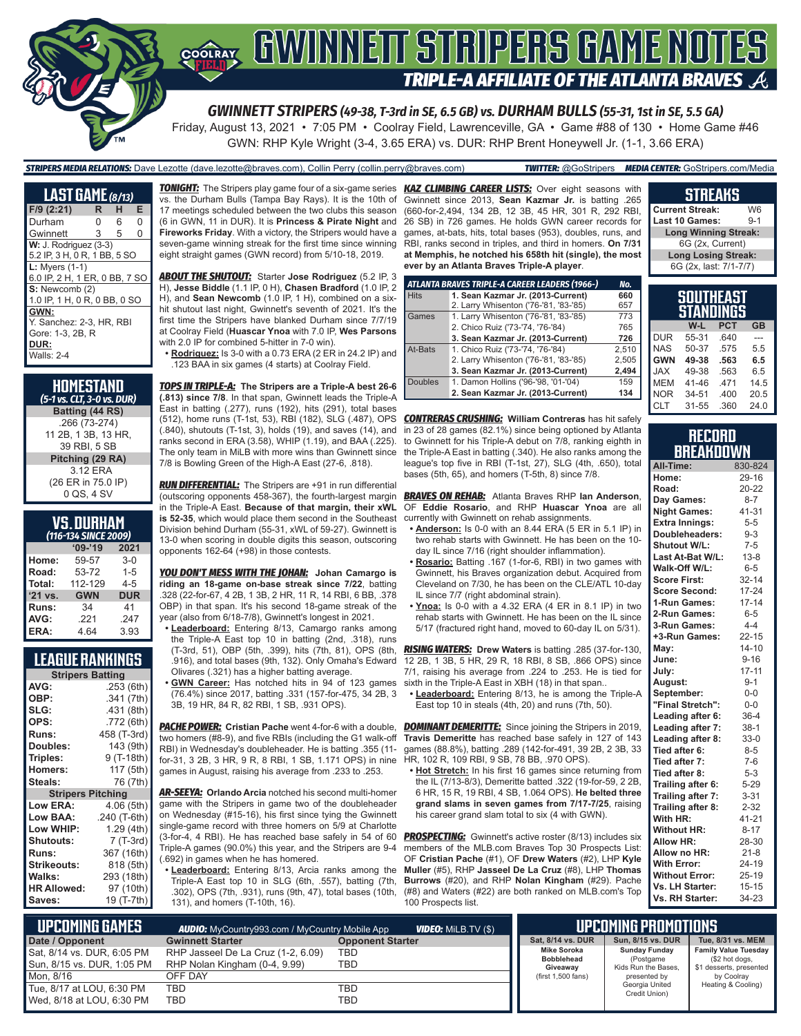

Friday, August 13, 2021 • 7:05 PM • Coolray Field, Lawrenceville, GA • Game #88 of 130 • Home Game #46 GWN: RHP Kyle Wright (3-4, 3.65 ERA) vs. DUR: RHP Brent Honeywell Jr. (1-1, 3.66 ERA)

*STRIPERS MEDIA RELATIONS:* Dave Lezotte (dave.lezotte@braves.com), Collin Perry (collin.perry@braves.com) *TWITTER:* @GoStripers *MEDIA CENTER:* GoStripers.com/Media

| $LAST$ GAME $\overline{\left( \frac{8}{13} \right)}$ |   |   |          |  |  |
|------------------------------------------------------|---|---|----------|--|--|
| $F/9$ (2:21)                                         | R | н | Е        |  |  |
| Durham                                               | N | 6 | $\Omega$ |  |  |
| Gwinnett                                             | 3 | 5 | 0        |  |  |
| $W: J.$ Rodriguez $(3-3)$                            |   |   |          |  |  |
| 5.2 IP, 3 H, 0 R, 1 BB, 5 SO                         |   |   |          |  |  |
| $L:$ Myers $(1-1)$                                   |   |   |          |  |  |
| 6.0 IP, 2 H, 1 ER, 0 BB, 7 SO                        |   |   |          |  |  |
| S: Newcomb (2)                                       |   |   |          |  |  |
| 1.0 IP, 1 H, 0 R, 0 BB, 0 SO                         |   |   |          |  |  |
| GWN:                                                 |   |   |          |  |  |
| Y. Sanchez: 2-3. HR. RBI                             |   |   |          |  |  |
| Gore: 1-3, 2B, R                                     |   |   |          |  |  |
| DUR:                                                 |   |   |          |  |  |
| <b>Walls: 2-4</b>                                    |   |   |          |  |  |

| <b>HOMESTAND</b><br>(5-1 vs. CLT, 3-0 vs. DUR) |
|------------------------------------------------|
| Batting (44 RS)                                |
| .266 (73-274)                                  |
| 11 2B, 1 3B, 13 HR,                            |
| 39 RBI, 5 SB                                   |
| Pitching (29 RA)                               |
| 3.12 ERA                                       |
| (26 ER in 75.0 IP)                             |
| 0 QS, 4 SV                                     |

| <b>VS.DURHAM</b>      |  |  |
|-----------------------|--|--|
| 1116-121, CINICE 2006 |  |  |

| (116-134 SINCE 2009) |            |            |  |  |  |  |
|----------------------|------------|------------|--|--|--|--|
|                      | $09 - 19$  | 2021       |  |  |  |  |
| Home:                | 59-57      | $3 - 0$    |  |  |  |  |
| Road:                | 53-72      | $1 - 5$    |  |  |  |  |
| Total:               | 112-129    | $4 - 5$    |  |  |  |  |
| $'21$ vs.            | <b>GWN</b> | <b>DUR</b> |  |  |  |  |
| Runs:                | 34         | 41         |  |  |  |  |
| AVG:                 | .221       | .247       |  |  |  |  |
| ERA:                 | 4.64       | 3.93       |  |  |  |  |

#### **LEAGUE RANKINGS**

| <b>Stripers Batting</b>  |              |  |  |  |  |
|--------------------------|--------------|--|--|--|--|
| AVG:                     | .253 (6th)   |  |  |  |  |
| OBP:                     | .341 (7th)   |  |  |  |  |
| SLG:                     | .431 (8th)   |  |  |  |  |
| OPS:                     | .772 (6th)   |  |  |  |  |
| <b>Runs:</b>             | 458 (T-3rd)  |  |  |  |  |
| Doubles:                 | 143 (9th)    |  |  |  |  |
| Triples:                 | 9 (T-18th)   |  |  |  |  |
| <b>Homers:</b>           | 117 (5th)    |  |  |  |  |
| Steals:                  | 76 (7th)     |  |  |  |  |
| <b>Stripers Pitching</b> |              |  |  |  |  |
| <b>Low ERA:</b>          | 4.06 (5th)   |  |  |  |  |
| <b>Low BAA:</b>          | .240 (T-6th) |  |  |  |  |
| Low WHIP:                | 1.29(4th)    |  |  |  |  |
| <b>Shutouts:</b>         | 7 (T-3rd)    |  |  |  |  |
| <b>Runs:</b>             | 367 (16th)   |  |  |  |  |
| <b>Strikeouts:</b>       | 818 (5th)    |  |  |  |  |
| Walks:                   | 293 (18th)   |  |  |  |  |
| <b>HR Allowed:</b>       | 97 (10th)    |  |  |  |  |
| Saves:                   | 19 (T-7th)   |  |  |  |  |

*TONIGHT:* The Stripers play game four of a six-game series *KAZ CLIMBING CAREER LISTS:* Over eight seasons with vs. the Durham Bulls (Tampa Bay Rays). It is the 10th of 17 meetings scheduled between the two clubs this season (6 in GWN, 11 in DUR). It is **Princess & Pirate Night** and **Fireworks Friday**. With a victory, the Stripers would have a seven-game winning streak for the first time since winning eight straight games (GWN record) from 5/10-18, 2019.

*ABOUT THE SHUTOUT:* Starter **Jose Rodriguez** (5.2 IP, 3 H), **Jesse Biddle** (1.1 IP, 0 H), **Chasen Bradford** (1.0 IP, 2 H), and **Sean Newcomb** (1.0 IP, 1 H), combined on a sixhit shutout last night, Gwinnett's seventh of 2021. It's the first time the Stripers have blanked Durham since 7/7/19 at Coolray Field (**Huascar Ynoa** with 7.0 IP, **Wes Parsons** with 2.0 IP for combined 5-hitter in 7-0 win).

**• Rodriguez:** Is 3-0 with a 0.73 ERA (2 ER in 24.2 IP) and .123 BAA in six games (4 starts) at Coolray Field.

*TOPS IN TRIPLE-A:* **The Stripers are a Triple-A best 26-6 (.813) since 7/8**. In that span, Gwinnett leads the Triple-A East in batting (.277), runs (192), hits (291), total bases (.840), shutouts (T-1st, 3), holds (19), and saves (14), and ranks second in ERA (3.58), WHIP (1.19), and BAA (.225). The only team in MiLB with more wins than Gwinnett since 7/8 is Bowling Green of the High-A East (27-6, .818).

*RUN DIFFERENTIAL:* The Stripers are +91 in run differential (outscoring opponents 458-367), the fourth-largest margin in the Triple-A East. **Because of that margin, their xWL is 52-35**, which would place them second in the Southeast Division behind Durham (55-31, xWL of 59-27). Gwinnett is 13-0 when scoring in double digits this season, outscoring opponents 162-64 (+98) in those contests.

*YOU DON'T MESS WITH THE JOHAN:* **Johan Camargo is riding an 18-game on-base streak since 7/22**, batting .328 (22-for-67, 4 2B, 1 3B, 2 HR, 11 R, 14 RBI, 6 BB, .378 OBP) in that span. It's his second 18-game streak of the year (also from 6/18-7/8), Gwinnett's longest in 2021.

- **• Leaderboard:** Entering 8/13, Camargo ranks among the Triple-A East top 10 in batting (2nd, .318), runs (T-3rd, 51), OBP (5th, .399), hits (7th, 81), OPS (8th, .916), and total bases (9th, 132). Only Omaha's Edward Olivares (.321) has a higher batting average.
- **• GWN Career:** Has notched hits in 94 of 123 games (76.4%) since 2017, batting .331 (157-for-475, 34 2B, 3 3B, 19 HR, 84 R, 82 RBI, 1 SB, .931 OPS).

*PACHE POWER:* **Cristian Pache** went 4-for-6 with a double, two homers (#8-9), and five RBIs (including the G1 walk-off RBI) in Wednesday's doubleheader. He is batting .355 (11 for-31, 3 2B, 3 HR, 9 R, 8 RBI, 1 SB, 1.171 OPS) in nine games in August, raising his average from .233 to .253.

*AR-SEEYA:* **Orlando Arcia** notched his second multi-homer game with the Stripers in game two of the doubleheader on Wednesday (#15-16), his first since tying the Gwinnett single-game record with three homers on 5/9 at Charlotte (3-for-4, 4 RBI). He has reached base safely in 54 of 60 Triple-A games (90.0%) this year, and the Stripers are 9-4 (.692) in games when he has homered.

**• Leaderboard:** Entering 8/13, Arcia ranks among the Triple-A East top 10 in SLG (6th, .557), batting (7th, .302), OPS (7th, .931), runs (9th, 47), total bases (10th, 131), and homers (T-10th, 16).

Gwinnett since 2013, **Sean Kazmar Jr.** is batting .265 (660-for-2,494, 134 2B, 12 3B, 45 HR, 301 R, 292 RBI, 26 SB) in 726 games. He holds GWN career records for games, at-bats, hits, total bases (953), doubles, runs, and RBI, ranks second in triples, and third in homers. **On 7/31 at Memphis, he notched his 658th hit (single), the most ever by an Atlanta Braves Triple-A player**.

|             | ATLANTA BRAVES TRIPLE-A CAREER LEADERS (1966-) | No.   |
|-------------|------------------------------------------------|-------|
| <b>Hits</b> | 1. Sean Kazmar Jr. (2013-Current)              | 660   |
|             | 2. Larry Whisenton ('76-'81, '83-'85)          | 657   |
| Games       | 1. Larry Whisenton ('76-'81, '83-'85)          | 773   |
|             | 2. Chico Ruiz ('73-'74, '76-'84)               | 765   |
|             | 3. Sean Kazmar Jr. (2013-Current)              | 726   |
| At-Bats     | 1. Chico Ruiz ('73-'74, '76-'84)               | 2.510 |
|             | 2. Larry Whisenton ('76-'81, '83-'85)          | 2,505 |
|             | 3. Sean Kazmar Jr. (2013-Current)              | 2.494 |
| Doubles     | 1. Damon Hollins ('96-'98, '01-'04)            | 159   |
|             | 2. Sean Kazmar Jr. (2013-Current)              | 134   |

(512), home runs (T-1st, 53), RBI (182), SLG (.487), OPS *CONTRERAS CRUSHING:* **William Contreras** has hit safely in 23 of 28 games (82.1%) since being optioned by Atlanta to Gwinnett for his Triple-A debut on 7/8, ranking eighth in the Triple-A East in batting (.340). He also ranks among the league's top five in RBI (T-1st, 27), SLG (4th, .650), total bases (5th, 65), and homers (T-5th, 8) since 7/8.

> *BRAVES ON REHAB:* Atlanta Braves RHP **Ian Anderson**, OF **Eddie Rosario**, and RHP **Huascar Ynoa** are all currently with Gwinnett on rehab assignments.

- **• Anderson:** Is 0-0 with an 8.44 ERA (5 ER in 5.1 IP) in two rehab starts with Gwinnett. He has been on the 10 day IL since 7/16 (right shoulder inflammation).
- **• Rosario:** Batting .167 (1-for-6, RBI) in two games with Gwinnett, his Braves organization debut. Acquired from Cleveland on 7/30, he has been on the CLE/ATL 10-day IL since 7/7 (right abdominal strain).
- **• Ynoa:** Is 0-0 with a 4.32 ERA (4 ER in 8.1 IP) in two rehab starts with Gwinnett. He has been on the IL since 5/17 (fractured right hand, moved to 60-day IL on 5/31).

*RISING WATERS:* **Drew Waters** is batting .285 (37-for-130, 12 2B, 1 3B, 5 HR, 29 R, 18 RBI, 8 SB, .866 OPS) since 7/1, raising his average from .224 to .253. He is tied for sixth in the Triple-A East in XBH (18) in that span..

**• Leaderboard:** Entering 8/13, he is among the Triple-A East top 10 in steals (4th, 20) and runs (7th, 50).

**DOMINANT DEMERITTE:** Since joining the Stripers in 2019, **Travis Demeritte** has reached base safely in 127 of 143 games (88.8%), batting .289 (142-for-491, 39 2B, 2 3B, 33 HR, 102 R, 109 RBI, 9 SB, 78 BB, .970 OPS).

**• Hot Stretch:** In his first 16 games since returning from the IL (7/13-8/3), Demeritte batted .322 (19-for-59, 2 2B) 6 HR, 15 R, 19 RBI, 4 SB, 1.064 OPS). **He belted three grand slams in seven games from 7/17-7/25**, raising his career grand slam total to six (4 with GWN).

**PROSPECTING:** Gwinnett's active roster (8/13) includes six members of the MLB.com Braves Top 30 Prospects List: OF **Cristian Pache** (#1), OF **Drew Waters** (#2), LHP **Kyle Muller** (#5), RHP **Jasseel De La Cruz** (#8), LHP **Thomas Burrows** (#20), and RHP **Nolan Kingham** (#29). Pache (#8) and Waters (#22) are both ranked on MLB.com's Top 100 Prospects list.

#### **Current Streak: W6<br>Last 10 Games: 9-1 Last 10 Games: Long Winning Streak:**

**STREAKS**

6G (2x, Current) **Long Losing Streak:** 6G (2x, last: 7/1-7/7)

| SOUTHEAST<br>STANDINGS |       |            |           |  |  |
|------------------------|-------|------------|-----------|--|--|
|                        | W-L   | <b>PCT</b> | <b>GB</b> |  |  |
| <b>DUR</b>             | 55-31 | .640       |           |  |  |
| <b>NAS</b>             | 50-37 | .575       | 5.5       |  |  |
| <b>GWN</b>             | 49-38 | .563       | 6.5       |  |  |
| <b>JAX</b>             | 49-38 | .563       | 6.5       |  |  |
| <b>MEM</b>             | 41-46 | .471       | 14.5      |  |  |
| <b>NOR</b>             | 34-51 | .400       | 20.5      |  |  |
| <b>CLT</b>             | 31-55 | .360       | 24.0      |  |  |

#### **RECORD BREAKDOWN**

| All-Time:             | 830-824   |
|-----------------------|-----------|
| Home:                 | 29-16     |
| Road:                 | 20-22     |
| Day Games:            | $8 - 7$   |
| <b>Night Games:</b>   | 41-31     |
| <b>Extra Innings:</b> | $5 - 5$   |
| Doubleheaders:        | $9 - 3$   |
| Shutout W/L:          | $7 - 5$   |
| Last At-Bat W/L:      | $13 - 8$  |
| Walk-Off W/L:         | $6 - 5$   |
| <b>Score First:</b>   | $32 - 14$ |
| Score Second:         | $17 - 24$ |
| 1-Run Games:          | $17 - 14$ |
| 2-Run Games:          | $6 - 5$   |
| 3-Run Games:          | $4 - 4$   |
| +3-Run Games:         | $22 - 15$ |
| May:                  | $14 - 10$ |
| June:                 | $9 - 16$  |
| July:                 | $17 - 11$ |
| August:               | $9 - 1$   |
| September:            | $0 - 0$   |
| "Final Stretch":      | $0 - 0$   |
| Leading after 6:      | $36 - 4$  |
| Leading after 7:      | 38-1      |
| Leading after 8:      | $33-0$    |
| Tied after 6:         | $8 - 5$   |
| Tied after 7:         | $7-6$     |
| Tied after 8:         | $5-3$     |
| Trailing after 6:     | $5 - 29$  |
| Trailing after 7:     | $3 - 31$  |
| Trailing after 8:     | $2 - 32$  |
| With HR:              | $41 - 21$ |
| <b>Without HR:</b>    | $8 - 17$  |
| Allow HR:             | 28-30     |
| Allow no HR:          | $21 - 8$  |
| With Error:           | 24-19     |
| <b>Without Error:</b> | $25 - 19$ |
| Vs. LH Starter:       | $15 - 15$ |
| Vs. RH Starter:       | 34-23     |

| L UPCOMING GAMES I<br><b>VIDEO:</b> MILB.TV (\$)<br><b>AUDIO:</b> MyCountry993.com / MyCountry Mobile App |                                                                     |                         |                                                     | UPCOMING PROMOTIONS                                      |                                                                          |
|-----------------------------------------------------------------------------------------------------------|---------------------------------------------------------------------|-------------------------|-----------------------------------------------------|----------------------------------------------------------|--------------------------------------------------------------------------|
| Date / Opponent                                                                                           | <b>Gwinnett Starter</b>                                             | <b>Opponent Starter</b> | Sat. 8/14 vs. DUR                                   | Sun. 8/15 vs. DUR                                        | Tue, 8/31 vs. MEM                                                        |
| Sat, 8/14 vs. DUR, 6:05 PM<br>Sun, 8/15 vs. DUR, 1:05 PM                                                  | RHP Jasseel De La Cruz (1-2, 6.09)<br>RHP Nolan Kingham (0-4, 9.99) | TBD<br>TBD              | <b>Mike Soroka</b><br><b>Bobblehead</b><br>Giveawav | <b>Sunday Funday</b><br>(Postgame<br>Kids Run the Bases. | <b>Family Value Tuesday</b><br>(\$2 hot dogs,<br>\$1 desserts, presented |
| Mon. 8/16                                                                                                 | OFF DAY                                                             |                         | (first 1,500 fans)                                  | presented by                                             | by Coolray                                                               |
| Tue, 8/17 at LOU, 6:30 PM<br>Wed, 8/18 at LOU, 6:30 PM                                                    | <b>TBD</b><br><b>TBD</b>                                            | TBD<br>TBD              |                                                     | Georgia United<br>Credit Union)                          | Heating & Cooling)                                                       |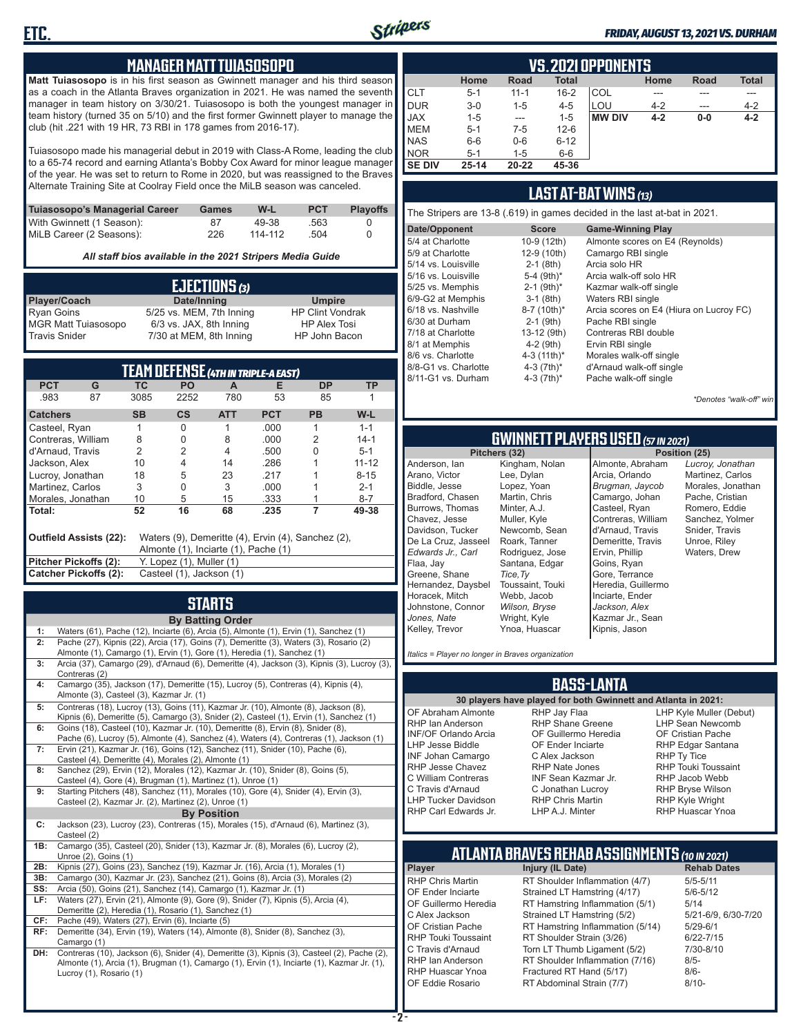

#### *FRIDAY, AUGUST 13, 2021 VS. DURHAM*

#### **MANAGER MATT TUIASOSOPO**

**Matt Tuiasosopo** is in his first season as Gwinnett manager and his third season as a coach in the Atlanta Braves organization in 2021. He was named the seventh manager in team history on 3/30/21. Tuiasosopo is both the youngest manager in team history (turned 35 on 5/10) and the first former Gwinnett player to manage the club (hit .221 with 19 HR, 73 RBI in 178 games from 2016-17).

Tuiasosopo made his managerial debut in 2019 with Class-A Rome, leading the club to a 65-74 record and earning Atlanta's Bobby Cox Award for minor league manager of the year. He was set to return to Rome in 2020, but was reassigned to the Braves Alternate Training Site at Coolray Field once the MiLB season was canceled.

| Tuiasosopo's Managerial Career | Games | W-L     | <b>PCT</b> | <b>Plavoffs</b> |
|--------------------------------|-------|---------|------------|-----------------|
| With Gwinnett (1 Season):      | 87    | 49-38   | .563       |                 |
| MiLB Career (2 Seasons):       | 226   | 114-112 | .504       |                 |

*All staff bios available in the 2021 Stripers Media Guide*

|                            | EJECTIONS (3)            |                         |
|----------------------------|--------------------------|-------------------------|
| Player/Coach               | Date/Inning              | <b>Umpire</b>           |
| Ryan Goins                 | 5/25 vs. MEM, 7th Inning | <b>HP Clint Vondrak</b> |
| <b>MGR Matt Tuiasosopo</b> | 6/3 vs. JAX, 8th Inning  | <b>HP Alex Tosi</b>     |
| <b>Travis Snider</b>       | 7/30 at MEM, 8th Inning  | HP John Bacon           |

| TEAM DEFENSE (4TH IN TRIPLE-A EAST)                                                                                  |                                                   |           |                          |            |            |           |           |
|----------------------------------------------------------------------------------------------------------------------|---------------------------------------------------|-----------|--------------------------|------------|------------|-----------|-----------|
| <b>PCT</b>                                                                                                           | G                                                 | TC        | PO                       | A          | Е          | <b>DP</b> | <b>TP</b> |
| .983                                                                                                                 | 87                                                | 3085      | 2252                     | 780        | 53         | 85        |           |
| <b>Catchers</b>                                                                                                      |                                                   | <b>SB</b> | $\mathsf{cs}$            | <b>ATT</b> | <b>PCT</b> | <b>PB</b> | W-L       |
| Casteel, Ryan                                                                                                        |                                                   |           | 0                        |            | .000       |           | $1 - 1$   |
| Contreras, William                                                                                                   |                                                   | 8         | 0                        | 8          | .000       | 2         | $14-1$    |
| d'Arnaud, Travis                                                                                                     |                                                   | 2         | 2                        | 4          | .500       | N         | $5 - 1$   |
| Jackson, Alex                                                                                                        |                                                   | 10        | 4                        | 14         | .286       |           | $11 - 12$ |
| Lucroy, Jonathan                                                                                                     |                                                   | 18        | 5                        | 23         | .217       |           | $8 - 15$  |
| Martinez. Carlos                                                                                                     |                                                   | 3         | 0                        | 3          | .000       |           | $2 - 1$   |
| Morales, Jonathan                                                                                                    |                                                   | 10        | 5                        | 15         | .333       |           | $8 - 7$   |
| Total:                                                                                                               |                                                   | 52        | 16                       | 68         | .235       | 7         | 49-38     |
| Outfield Assists (22):<br>Waters (9), Demeritte (4), Ervin (4), Sanchez (2),<br>Almonte (1), Inciarte (1), Pache (1) |                                                   |           |                          |            |            |           |           |
| Pitcher Pickoffs (2):                                                                                                |                                                   |           | Y. Lopez (1), Muller (1) |            |            |           |           |
|                                                                                                                      | Catcher Pickoffs (2):<br>Casteel (1), Jackson (1) |           |                          |            |            |           |           |

## **STARTS**

|     | <b>By Batting Order</b>                                                                                                                                                     |
|-----|-----------------------------------------------------------------------------------------------------------------------------------------------------------------------------|
| 1:  | Waters (61), Pache (12), Inciarte (6), Arcia (5), Almonte (1), Ervin (1), Sanchez (1)                                                                                       |
| 2:  | Pache (27), Kipnis (22), Arcia (17), Goins (7), Demeritte (3), Waters (3), Rosario (2)                                                                                      |
|     | Almonte (1), Camargo (1), Ervin (1), Gore (1), Heredia (1), Sanchez (1)                                                                                                     |
| 3:  | Arcia (37), Camargo (29), d'Arnaud (6), Demeritte (4), Jackson (3), Kipnis (3), Lucroy (3),                                                                                 |
|     | Contreras (2)                                                                                                                                                               |
| 4:  | Camargo (35), Jackson (17), Demeritte (15), Lucroy (5), Contreras (4), Kipnis (4),                                                                                          |
|     | Almonte (3), Casteel (3), Kazmar Jr. (1)                                                                                                                                    |
| 5:  | Contreras (18), Lucroy (13), Goins (11), Kazmar Jr. (10), Almonte (8), Jackson (8),                                                                                         |
| 6:  | Kipnis (6), Demeritte (5), Camargo (3), Snider (2), Casteel (1), Ervin (1), Sanchez (1)<br>Goins (18), Casteel (10), Kazmar Jr. (10), Demeritte (8), Ervin (8), Snider (8), |
|     | Pache (6), Lucroy (5), Almonte (4), Sanchez (4), Waters (4), Contreras (1), Jackson (1)                                                                                     |
| 7:  | Ervin (21), Kazmar Jr. (16), Goins (12), Sanchez (11), Snider (10), Pache (6),                                                                                              |
|     | Casteel (4), Demeritte (4), Morales (2), Almonte (1)                                                                                                                        |
| 8:  | Sanchez (29), Ervin (12), Morales (12), Kazmar Jr. (10), Snider (8), Goins (5),                                                                                             |
|     | Casteel (4), Gore (4), Brugman (1), Martinez (1), Unroe (1)                                                                                                                 |
| 9:  | Starting Pitchers (48), Sanchez (11), Morales (10), Gore (4), Snider (4), Ervin (3),                                                                                        |
|     | Casteel (2), Kazmar Jr. (2), Martinez (2), Unroe (1)                                                                                                                        |
|     | <b>By Position</b>                                                                                                                                                          |
| C:  | Jackson (23), Lucroy (23), Contreras (15), Morales (15), d'Arnaud (6), Martinez (3),                                                                                        |
|     | Casteel (2)                                                                                                                                                                 |
| 1B: | Camargo (35), Casteel (20), Snider (13), Kazmar Jr. (8), Morales (6), Lucroy (2),                                                                                           |
|     | Unroe (2), Goins (1)                                                                                                                                                        |
| 2B: | Kipnis (27), Goins (23), Sanchez (19), Kazmar Jr. (16), Arcia (1), Morales (1)                                                                                              |
| 3B: | Camargo (30), Kazmar Jr. (23), Sanchez (21), Goins (8), Arcia (3), Morales (2)                                                                                              |
| SS: | Arcia (50), Goins (21), Sanchez (14), Camargo (1), Kazmar Jr. (1)                                                                                                           |
| LF: | Waters (27), Ervin (21), Almonte (9), Gore (9), Snider (7), Kipnis (5), Arcia (4),<br>Demeritte (2), Heredia (1), Rosario (1), Sanchez (1)                                  |
| CF: | Pache (49), Waters (27), Ervin (6), Inciarte (5)                                                                                                                            |
| RF: | Demeritte (34), Ervin (19), Waters (14), Almonte (8), Snider (8), Sanchez (3),                                                                                              |
|     | Camargo (1)                                                                                                                                                                 |
| DH: | Contreras (10), Jackson (6), Snider (4), Demeritte (3), Kipnis (3), Casteel (2), Pache (2),                                                                                 |
|     | Almonte (1), Arcia (1), Brugman (1), Camargo (1), Ervin (1), Inciarte (1), Kazmar Jr. (1),                                                                                  |
|     | Lucroy (1), Rosario (1)                                                                                                                                                     |
|     |                                                                                                                                                                             |

|               | <b>VS. 2021 OPPONENTS</b> |             |              |               |         |             |              |  |  |  |  |  |  |
|---------------|---------------------------|-------------|--------------|---------------|---------|-------------|--------------|--|--|--|--|--|--|
|               | Home                      | <b>Road</b> | <b>Total</b> |               | Home    | <b>Road</b> | <b>Total</b> |  |  |  |  |  |  |
| <b>CLT</b>    | $5 - 1$                   | $11 - 1$    | $16 - 2$     | COL           |         |             |              |  |  |  |  |  |  |
| DUR           | $3-0$                     | $1 - 5$     | $4 - 5$      | LOU           | $4 - 2$ |             | $4 - 2$      |  |  |  |  |  |  |
| <b>JAX</b>    | $1 - 5$                   | $- - -$     | $1 - 5$      | <b>MW DIV</b> | $4 - 2$ | $0-0$       | $4 - 2$      |  |  |  |  |  |  |
| <b>MEM</b>    | $5 - 1$                   | $7-5$       | $12 - 6$     |               |         |             |              |  |  |  |  |  |  |
| <b>NAS</b>    | $6-6$                     | $0-6$       | $6 - 12$     |               |         |             |              |  |  |  |  |  |  |
| <b>NOR</b>    | $5 - 1$                   | $1 - 5$     | $6-6$        |               |         |             |              |  |  |  |  |  |  |
| <b>SE DIV</b> | $25 - 14$                 | 20-22       | 45-36        |               |         |             |              |  |  |  |  |  |  |

#### **LAST AT-BAT WINS** *(13)*

| The Stripers are 13-8 (.619) in games decided in the last at-bat in 2021. |                          |                                         |  |  |  |  |  |  |  |
|---------------------------------------------------------------------------|--------------------------|-----------------------------------------|--|--|--|--|--|--|--|
| Date/Opponent                                                             | <b>Score</b>             | <b>Game-Winning Play</b>                |  |  |  |  |  |  |  |
| 5/4 at Charlotte                                                          | 10-9 (12th)              | Almonte scores on E4 (Reynolds)         |  |  |  |  |  |  |  |
| 5/9 at Charlotte                                                          | 12-9 (10th)              | Camargo RBI single                      |  |  |  |  |  |  |  |
| 5/14 vs. Louisville                                                       | $2-1$ (8th)              | Arcia solo HR                           |  |  |  |  |  |  |  |
| 5/16 vs. Louisville                                                       | 5-4 $(9th)*$             | Arcia walk-off solo HR                  |  |  |  |  |  |  |  |
| 5/25 vs. Memphis                                                          | $2-1$ (9th) <sup>*</sup> | Kazmar walk-off single                  |  |  |  |  |  |  |  |
| 6/9-G2 at Memphis                                                         | $3-1$ (8th)              | Waters RBI single                       |  |  |  |  |  |  |  |
| 6/18 vs. Nashville                                                        | 8-7 (10th)*              | Arcia scores on E4 (Hiura on Lucroy FC) |  |  |  |  |  |  |  |
| 6/30 at Durham                                                            | $2-1$ (9th)              | Pache RBI single                        |  |  |  |  |  |  |  |
| 7/18 at Charlotte                                                         | 13-12 (9th)              | Contreras RBI double                    |  |  |  |  |  |  |  |
| 8/1 at Memphis                                                            | $4-2$ (9th)              | Ervin RBI single                        |  |  |  |  |  |  |  |
| 8/6 vs. Charlotte                                                         | 4-3 $(11th)^*$           | Morales walk-off single                 |  |  |  |  |  |  |  |
| 8/8-G1 vs. Charlotte                                                      | 4-3 $(7th)^*$            | d'Arnaud walk-off single                |  |  |  |  |  |  |  |
| 8/11-G1 vs. Durham                                                        | 4-3 $(7th)*$             | Pache walk-off single                   |  |  |  |  |  |  |  |
|                                                                           |                          |                                         |  |  |  |  |  |  |  |

*\*Denotes "walk-off" win*

## **GWINNETT PLAYERS USED** *(57 IN 2021)*

**Pitchers (32)** Anderson, Ian Arano, Victor Biddle, Jesse Bradford, Chasen Burrows, Thomas Chavez, Jesse Davidson, Tucker De La Cruz, Jasseel *Edwards Jr., Carl* Flaa, Jay Greene, Shane Hernandez, Daysbel Horacek, Mitch Johnstone, Connor *Jones, Nate* Kelley, Trevor Kingham, Nolan Lee, Dylan Lopez, Yoan Martin, Chris Minter, A.J. Muller, Kyle Newcomb, Sean Roark, Tanner Rodriguez, Jose Santana, Edgar *Tice,Ty* Toussaint, Touki Webb, Jacob *Wilson, Bryse* Wright, Kyle Ynoa, Huascar

Almonte, Abraham Arcia, Orlando *Brugman, Jaycob* Camargo, Johan Casteel, Ryan Contreras, William d'Arnaud, Travis Demeritte, Travis Ervin, Phillip Goins, Ryan Gore, Terrance Heredia, Guillermo Inciarte, Ender *Jackson, Alex* Kazmar Jr., Sean Kipnis, Jason

*Lucroy, Jonathan* Martinez, Carlos Morales, Jonathan Pache, Cristian Romero, Eddie Sanchez, Yolmer Snider, Travis Unroe, Riley Waters, Drew

*Italics = Player no longer in Braves organization*

#### **BASS-LANTA**

OF Abraham Almonte RHP Ian Anderson INF/OF Orlando Arcia LHP Jesse Biddle INF Johan Camargo RHP Jesse Chavez C William Contreras C Travis d'Arnaud LHP Tucker Davidson

**30 players have played for both Gwinnett and Atlanta in 2021:** RHP Jay Flaa RHP Shane Greene OF Guillermo Heredia OF Ender Inciarte C Alex Jackson RHP Nate Jones INF Sean Kazmar Jr. C Jonathan Lucroy RHP Chris Martin LHP A.J. Minter

LHP Kyle Muller (Debut) LHP Sean Newcomb OF Cristian Pache RHP Edgar Santana RHP Ty Tice RHP Touki Toussaint RHP Jacob Webb RHP Bryse Wilson RHP Kyle Wright RHP Huascar Ynoa

## **ATLANTA BRAVES REHAB ASSIGNMENTS** *(10 IN 2021)*

RHP Carl Edwards Jr.

**Player Injury (IL Date)** RHP Chris Martin RT Shoulder Inflammation (4/7) 5/5-5/11<br>CF Ender Inciarte Strained I T Hamstring (4/17) 5/6-5/12 OF Ender Inciarte Strained LT Hamstring (4/17) 5/6-5<br>OF Guillermo Heredia RT Hamstring Inflammation (5/1) 5/14 OF Guillermo Heredia RT Hamstring Inflammation (5/1) 5/14<br>C Alex Jackson Strained LT Hamstring (5/2) 5/21-6/9, 6/30-7/20 C Alex Jackson Strained LT Hamstring (5/2) 5/21-6/9<br>CF Cristian Pache RT Hamstring Inflammation (5/14) 5/29-6/1 OF Cristian Pache RT Hamstring Inflammation (5/14)<br>RHP Touki Toussaint RT Shoulder Strain (3/26) RHP Touki Toussaint RT Shoulder Strain (3/26) 6/22-7/15<br>C Travis d'Arnaud Torn LT Thumb Ligament (5/2) 7/30-8/10 C Travis d'Arnaud Torn LT Thumb Ligament (5/2) 7/30<br>RHP Ian Anderson RT Shoulder Inflammation (7/16) 8/5-RHP Ian Anderson RT Shoulder Inflammation (7/16) 8/5-<br>RHP Huascar Ynoa Fractured RT Hand (5/17) 8/6-RHP Huascar Ynoa Fractured RT Hand (5/17) 8/6- RT Abdominal Strain (7/7)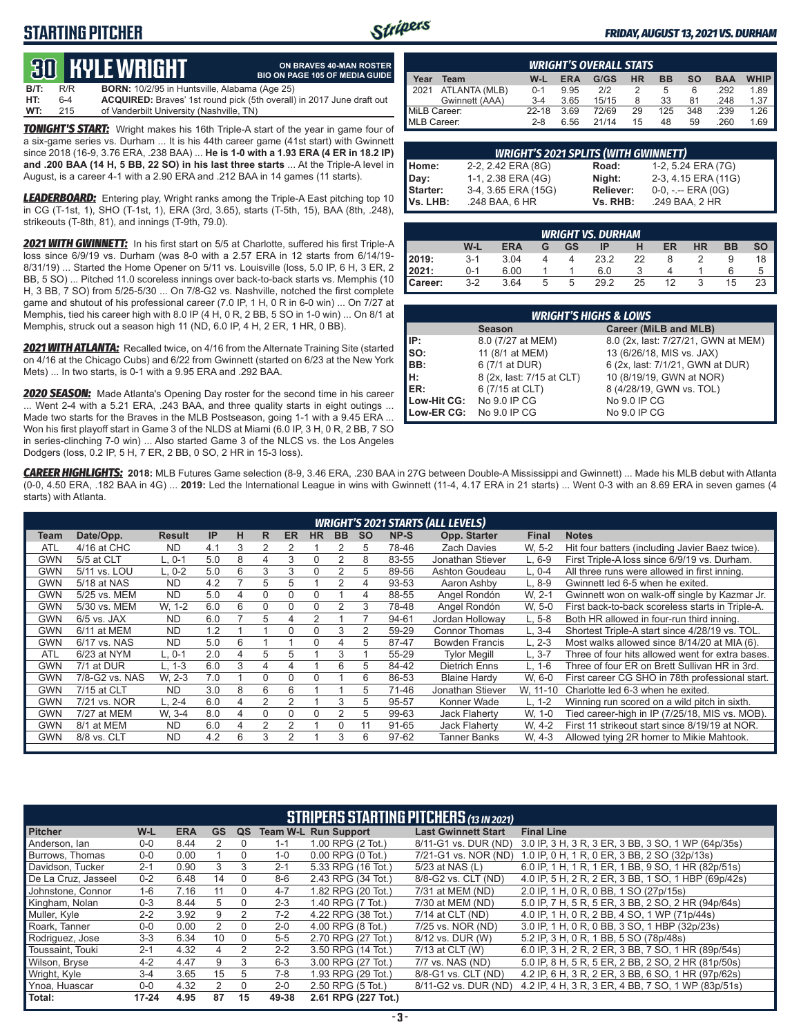### **STARTING PITCHER**



**ON BRAVES 40-MAN ROSTER**

#### *FRIDAY, AUGUST 13, 2021 VS. DURHAM*

## **30 KYLE WRIGHT**

|      |     | <u>tus bible white in</u>                            | <b>BIO ON PAGE 105 OF MEDIA GUIDE</b>                                        |
|------|-----|------------------------------------------------------|------------------------------------------------------------------------------|
| B/T: | R/R | <b>BORN:</b> 10/2/95 in Huntsville, Alabama (Age 25) |                                                                              |
| HT:  | 6-4 |                                                      | <b>ACQUIRED:</b> Braves' 1st round pick (5th overall) in 2017 June draft out |
| WT:  | 215 | of Vanderbilt University (Nashville, TN)             |                                                                              |

*TONIGHT'S START:* Wright makes his 16th Triple-A start of the year in game four of a six-game series vs. Durham ... It is his 44th career game (41st start) with Gwinnett since 2018 (16-9, 3.76 ERA, .238 BAA) ... **He is 1-0 with a 1.93 ERA (4 ER in 18.2 IP) and .200 BAA (14 H, 5 BB, 22 SO) in his last three starts** ... At the Triple-A level in August, is a career 4-1 with a 2.90 ERA and .212 BAA in 14 games (11 starts).

*LEADERBOARD:* Entering play, Wright ranks among the Triple-A East pitching top 10 in CG (T-1st, 1), SHO (T-1st, 1), ERA (3rd, 3.65), starts (T-5th, 15), BAA (8th, .248), strikeouts (T-8th, 81), and innings (T-9th, 79.0).

*2021 WITH GWINNETT:* In his first start on 5/5 at Charlotte, suffered his first Triple-A loss since 6/9/19 vs. Durham (was 8-0 with a 2.57 ERA in 12 starts from 6/14/19- 8/31/19) ... Started the Home Opener on 5/11 vs. Louisville (loss, 5.0 IP, 6 H, 3 ER, 2 BB, 5 SO) ... Pitched 11.0 scoreless innings over back-to-back starts vs. Memphis (10 H, 3 BB, 7 SO) from 5/25-5/30 ... On 7/8-G2 vs. Nashville, notched the first complete game and shutout of his professional career (7.0 IP, 1 H, 0 R in 6-0 win) ... On 7/27 at Memphis, tied his career high with 8.0 IP (4 H, 0 R, 2 BB, 5 SO in 1-0 win) ... On 8/1 at Memphis, struck out a season high 11 (ND, 6.0 IP, 4 H, 2 ER, 1 HR, 0 BB).

*2021 WITH ATLANTA:* Recalled twice, on 4/16 from the Alternate Training Site (started on 4/16 at the Chicago Cubs) and 6/22 from Gwinnett (started on 6/23 at the New York Mets) ... In two starts, is 0-1 with a 9.95 ERA and .292 BAA.

*2020 SEASON:* Made Atlanta's Opening Day roster for the second time in his career ... Went 2-4 with a 5.21 ERA, .243 BAA, and three quality starts in eight outings ... Made two starts for the Braves in the MLB Postseason, going 1-1 with a 9.45 ERA ... Won his first playoff start in Game 3 of the NLDS at Miami (6.0 IP, 3 H, 0 R, 2 BB, 7 SO in series-clinching 7-0 win) ... Also started Game 3 of the NLCS vs. the Los Angeles Dodgers (loss, 0.2 IP, 5 H, 7 ER, 2 BB, 0 SO, 2 HR in 15-3 loss).

|              | <b>WRIGHT'S OVERALL STATS</b> |         |      |       |           |           |     |            |             |  |  |  |  |
|--------------|-------------------------------|---------|------|-------|-----------|-----------|-----|------------|-------------|--|--|--|--|
| Year         | Team                          | W-L     | ERA  | G/GS  | <b>HR</b> | <b>BB</b> | so  | <b>BAA</b> | <b>WHIP</b> |  |  |  |  |
| 2021         | ATLANTA (MLB)                 | $0 - 1$ | 9.95 | 212   |           | 5         | 6   | .292       | 1.89        |  |  |  |  |
|              | Gwinnett (AAA)                | $3 - 4$ | 3.65 | 15/15 | 8         | 33        | 81  | .248       | 1.37        |  |  |  |  |
| MiLB Career: |                               | $22-18$ | 3.69 | 72/69 | 29        | 125       | 348 | .239       | 1.26        |  |  |  |  |
| MLB Career:  |                               | $2 - 8$ | 6.56 | 21/14 | 15        | 48        | 59  | 260        | 1.69        |  |  |  |  |

| <b>WRIGHT'S 2021 SPLITS (WITH GWINNETT)</b> |                     |           |                       |  |  |  |  |  |  |  |
|---------------------------------------------|---------------------|-----------|-----------------------|--|--|--|--|--|--|--|
| Home:                                       | 2-2, 2.42 ERA (8G)  | Road:     | 1-2, 5.24 ERA (7G)    |  |  |  |  |  |  |  |
| Day:                                        | 1-1, 2.38 ERA (4G)  | Night:    | 2-3, 4.15 ERA (11G)   |  |  |  |  |  |  |  |
| Starter:                                    | 3-4, 3.65 ERA (15G) | Reliever: | $0-0, - -$ ERA $(0G)$ |  |  |  |  |  |  |  |
| Vs. LHB:                                    | .248 BAA, 6 HR      | Vs. RHB:  | .249 BAA, 2 HR        |  |  |  |  |  |  |  |

|         | <b>WRIGHT VS. DURHAM</b> |            |   |    |      |    |           |           |           |      |  |  |  |  |
|---------|--------------------------|------------|---|----|------|----|-----------|-----------|-----------|------|--|--|--|--|
|         | W-L                      | <b>ERA</b> |   | GS | ΙP   |    | <b>ER</b> | <b>HR</b> | <b>BB</b> | so I |  |  |  |  |
| 2019:   | $3-1$                    | 3.04       |   |    | 23.2 | 22 |           |           |           |      |  |  |  |  |
| 2021:   | 0-1                      | 6.00       |   |    | 6.0  |    |           |           |           |      |  |  |  |  |
| Career: | $3-2$                    | 3.64       | 5 | 5  | 29.2 | 25 | 12        |           | 15        |      |  |  |  |  |

|             | <b>WRIGHT'S HIGHS &amp; LOWS</b> |                                     |  |  |  |  |  |  |  |  |  |
|-------------|----------------------------------|-------------------------------------|--|--|--|--|--|--|--|--|--|
|             | <b>Season</b>                    | Career (MiLB and MLB)               |  |  |  |  |  |  |  |  |  |
| IIP:        | 8.0 (7/27 at MEM)                | 8.0 (2x, last: 7/27/21, GWN at MEM) |  |  |  |  |  |  |  |  |  |
| Iso:        | 11 (8/1 at MEM)                  | 13 (6/26/18, MIS vs. JAX)           |  |  |  |  |  |  |  |  |  |
| BB:         | 6 (7/1 at DUR)                   | 6 (2x, last: 7/1/21, GWN at DUR)    |  |  |  |  |  |  |  |  |  |
| IH:         | 8 (2x, last: 7/15 at CLT)        | 10 (8/19/19, GWN at NOR)            |  |  |  |  |  |  |  |  |  |
| IER:        | 6 (7/15 at CLT)                  | 8 (4/28/19, GWN vs. TOL)            |  |  |  |  |  |  |  |  |  |
| Low-Hit CG: | No 9.0 IP CG                     | No 9.0 IP CG                        |  |  |  |  |  |  |  |  |  |
| Low-ER CG:  | No 9.0 IP CG                     | No 9.0 IP CG                        |  |  |  |  |  |  |  |  |  |

*CAREER HIGHLIGHTS:* **2018:** MLB Futures Game selection (8-9, 3.46 ERA, .230 BAA in 27G between Double-A Mississippi and Gwinnett) ... Made his MLB debut with Atlanta (0-0, 4.50 ERA, .182 BAA in 4G) ... **2019:** Led the International League in wins with Gwinnett (11-4, 4.17 ERA in 21 starts) ... Went 0-3 with an 8.69 ERA in seven games (4 starts) with Atlanta.

|            | <b>WRIGHT'S 2021 STARTS (ALL LEVELS)</b> |               |     |   |          |              |           |           |           |       |                       |              |                                                  |
|------------|------------------------------------------|---------------|-----|---|----------|--------------|-----------|-----------|-----------|-------|-----------------------|--------------|--------------------------------------------------|
| Team       | Date/Opp.                                | <b>Result</b> | IP  | н | R        | <b>ER</b>    | <b>HR</b> | <b>BB</b> | <b>SO</b> | NP-S  | Opp. Starter          | <b>Final</b> | <b>Notes</b>                                     |
| ATL        | 4/16 at CHC                              | <b>ND</b>     | 4.1 | 3 | 2        |              |           |           | 5.        | 78-46 | <b>Zach Davies</b>    | W. 5-2       | Hit four batters (including Javier Baez twice).  |
| GWN        | 5/5 at CLT                               | L. 0-1        | 5.0 | 8 | 4        | 3            | $\Omega$  |           | 8         | 83-55 | Jonathan Stiever      | $L.6-9$      | First Triple-A loss since 6/9/19 vs. Durham.     |
| GWN        | 5/11 vs. LOU                             | L. 0-2        | 5.0 | 6 | 3        | 3            | $\Omega$  | 2         | 5         | 89-56 | Ashton Goudeau        | L, 0-4       | All three runs were allowed in first inning.     |
| <b>GWN</b> | 5/18 at NAS                              | <b>ND</b>     | 4.2 |   | 5        | 5            |           |           | 4         | 93-53 | Aaron Ashby           | $L.8-9$      | Gwinnett led 6-5 when he exited.                 |
| GWN        | 5/25 vs. MEM                             | <b>ND</b>     | 5.0 | 4 | 0        | $\Omega$     | 0         |           | 4         | 88-55 | Angel Rondón          | W. 2-1       | Gwinnett won on walk-off single by Kazmar Jr.    |
| GWN        | 5/30 vs. MEM                             | W. 1-2        | 6.0 | 6 | $\Omega$ | $\Omega$     | $\Omega$  |           | 3         | 78-48 | Angel Rondón          | W. 5-0       | First back-to-back scoreless starts in Triple-A. |
| GWN        | $6/5$ vs. JAX                            | <b>ND</b>     | 6.0 |   | 5        | 4            | 2         |           |           | 94-61 | Jordan Hollowav       | $L, 5-8$     | Both HR allowed in four-run third inning.        |
| <b>GWN</b> | 6/11 at MEM                              | <b>ND</b>     | 1.2 |   |          | O            |           | 3         | 2         | 59-29 | <b>Connor Thomas</b>  | $L.3 - 4$    | Shortest Triple-A start since 4/28/19 vs. TOL.   |
| GWN        | 6/17 vs. NAS                             | <b>ND</b>     | 5.0 | 6 |          |              |           | 4         | 5         | 87-47 | <b>Bowden Francis</b> | $L. 2-3$     | Most walks allowed since 8/14/20 at MIA (6).     |
| <b>ATL</b> | 6/23 at NYM                              | L. 0-1        | 2.0 | 4 | 5        | 5            |           | 3         |           | 55-29 | <b>Tylor Megill</b>   | $L, 3-7$     | Three of four hits allowed went for extra bases. |
| GWN        | 7/1 at DUR                               | L. 1-3        | 6.0 | 3 | 4        | 4            |           | 6         | 5         | 84-42 | <b>Dietrich Enns</b>  | L. 1-6       | Three of four ER on Brett Sullivan HR in 3rd.    |
| GWN        | 7/8-G2 vs. NAS                           | W. 2-3        | 7.0 |   | 0        | <sup>0</sup> |           |           | 6         | 86-53 | <b>Blaine Hardy</b>   | W. 6-0       | First career CG SHO in 78th professional start.  |
| <b>GWN</b> | 7/15 at CLT                              | <b>ND</b>     | 3.0 | 8 | 6        | 6            |           |           | 5         | 71-46 | Jonathan Stiever      | W. 11-10     | Charlotte led 6-3 when he exited.                |
| GWN        | 7/21 vs. NOR                             | L. 2-4        | 6.0 | 4 | 2        |              |           | 3         | 5         | 95-57 | Konner Wade           | $L. 1-2$     | Winning run scored on a wild pitch in sixth.     |
| GWN        | 7/27 at MEM                              | W. 3-4        | 8.0 | 4 | 0        | 0            | $\Omega$  | 2         | 5         | 99-63 | Jack Flaherty         | W. 1-0       | Tied career-high in IP (7/25/18, MIS vs. MOB).   |
| <b>GWN</b> | 8/1 at MEM                               | <b>ND</b>     | 6.0 | 4 | 2        |              |           | 0         | 11        | 91-65 | Jack Flaherty         | W. 4-2       | First 11 strikeout start since 8/19/19 at NOR.   |
| <b>GWN</b> | 8/8 vs. CLT                              | <b>ND</b>     | 4.2 | 6 | 3        |              |           | 3         | 6         | 97-62 | Tanner Banks          | W. 4-3       | Allowed tying 2R homer to Mikie Mahtook.         |
|            |                                          |               |     |   |          |              |           |           |           |       |                       |              |                                                  |

|                     | <b>STRIPERS STARTING PITCHERS (13 IN 2021)</b> |            |    |          |         |                             |                            |                                                     |  |  |  |  |
|---------------------|------------------------------------------------|------------|----|----------|---------|-----------------------------|----------------------------|-----------------------------------------------------|--|--|--|--|
| <b>Pitcher</b>      | W-L                                            | <b>ERA</b> | GS | QS       |         | <b>Team W-L Run Support</b> | <b>Last Gwinnett Start</b> | <b>Final Line</b>                                   |  |  |  |  |
| Anderson, Ian       | $0 - 0$                                        | 8.44       |    |          | $1 - 1$ | 1.00 RPG (2 Tot.)           | 8/11-G1 vs. DUR (ND)       | 3.0 IP, 3 H, 3 R, 3 ER, 3 BB, 3 SO, 1 WP (64p/35s)  |  |  |  |  |
| Burrows, Thomas     | $0 - 0$                                        | 0.00       |    |          | $1 - 0$ | 0.00 RPG (0 Tot.)           | 7/21-G1 vs. NOR (ND)       | 1.0 IP, 0 H, 1 R, 0 ER, 3 BB, 2 SO (32p/13s)        |  |  |  |  |
| Davidson, Tucker    | $2 - 1$                                        | 0.90       | 3  | 3        | $2 - 1$ | 5.33 RPG (16 Tot.)          | 5/23 at NAS (L)            | 6.0 IP, 1 H, 1 R, 1 ER, 1 BB, 9 SO, 1 HR (82p/51s)  |  |  |  |  |
| De La Cruz, Jasseel | $0 - 2$                                        | 6.48       | 14 |          | $8-6$   | 2.43 RPG (34 Tot.)          | 8/8-G2 vs. CLT (ND)        | 4.0 IP, 5 H, 2 R, 2 ER, 3 BB, 1 SO, 1 HBP (69p/42s) |  |  |  |  |
| Johnstone, Connor   | $1 - 6$                                        | 7.16       | 11 | $\Omega$ | $4 - 7$ | 1.82 RPG (20 Tot.)          | 7/31 at MEM (ND)           | 2.0 IP, 1 H, 0 R, 0 BB, 1 SO (27p/15s)              |  |  |  |  |
| Kingham, Nolan      | $0 - 3$                                        | 8.44       | 5  |          | $2 - 3$ | 1.40 RPG (7 Tot.)           | 7/30 at MEM (ND)           | 5.0 IP, 7 H, 5 R, 5 ER, 3 BB, 2 SO, 2 HR (94p/64s)  |  |  |  |  |
| Muller, Kyle        | $2 - 2$                                        | 3.92       | 9  |          | $7 - 2$ | 4.22 RPG (38 Tot.)          | 7/14 at CLT (ND)           | 4.0 IP, 1 H, 0 R, 2 BB, 4 SO, 1 WP (71p/44s)        |  |  |  |  |
| Roark, Tanner       | $0 - 0$                                        | 0.00       |    | $\Omega$ | $2 - 0$ | 4.00 RPG (8 Tot.)           | 7/25 vs. NOR (ND)          | 3.0 IP, 1 H, 0 R, 0 BB, 3 SO, 1 HBP (32p/23s)       |  |  |  |  |
| Rodriguez, Jose     | $3-3$                                          | 6.34       | 10 | $\Omega$ | $5-5$   | 2.70 RPG (27 Tot.)          | 8/12 vs. DUR (W)           | 5.2 IP, 3 H, 0 R, 1 BB, 5 SO (78p/48s)              |  |  |  |  |
| Toussaint. Touki    | $2 - 1$                                        | 4.32       | 4  | 2        | $2 - 2$ | 3.50 RPG (14 Tot.)          | 7/13 at CLT (W)            | 6.0 IP, 3 H, 2 R, 2 ER, 3 BB, 7 SO, 1 HR (89p/54s)  |  |  |  |  |
| Wilson, Bryse       | $4 - 2$                                        | 4.47       | 9  | 3        | $6 - 3$ | 3.00 RPG (27 Tot.)          | 7/7 vs. NAS (ND)           | 5.0 IP, 8 H, 5 R, 5 ER, 2 BB, 2 SO, 2 HR (81p/50s)  |  |  |  |  |
| Wright, Kyle        | $3-4$                                          | 3.65       | 15 | 5.       | 7-8     | 1.93 RPG (29 Tot.)          | 8/8-G1 vs. CLT (ND)        | 4.2 IP, 6 H, 3 R, 2 ER, 3 BB, 6 SO, 1 HR (97p/62s)  |  |  |  |  |
| Ynoa, Huascar       | $0 - 0$                                        | 4.32       |    | $\Omega$ | $2 - 0$ | 2.50 RPG (5 Tot.)           | 8/11-G2 vs. DUR (ND)       | 4.2 IP, 4 H, 3 R, 3 ER, 4 BB, 7 SO, 1 WP (83p/51s)  |  |  |  |  |
| Total:              | $17 - 24$                                      | 4.95       | 87 | 15       | 49-38   | 2.61 RPG (227 Tot.)         |                            |                                                     |  |  |  |  |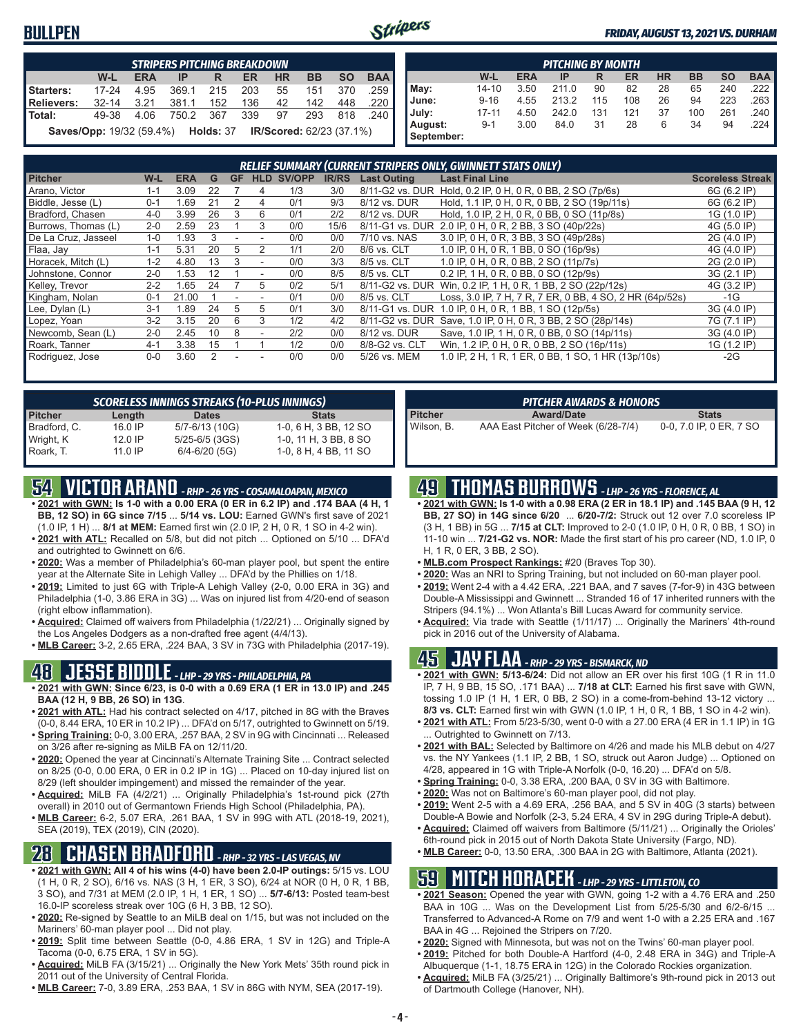#### **BULLPEN**



#### *FRIDAY, AUGUST 13, 2021 VS. DURHAM*

| STRIPERS PITCHING BREAKDOWN |                                                             |            |           |     |     |           |           |           |            |  |  |
|-----------------------------|-------------------------------------------------------------|------------|-----------|-----|-----|-----------|-----------|-----------|------------|--|--|
|                             | W-L                                                         | <b>ERA</b> | IP        | R   | ER  | <b>HR</b> | <b>BB</b> | <b>SO</b> | <b>BAA</b> |  |  |
| Starters:                   | $17 - 24$                                                   | 4.95       | 369.1     | 215 | 203 | 55        | 151       | 370       | .259       |  |  |
| <b>Relievers:</b>           | $32 - 14$                                                   | 3.21       | 381.1     | 152 | 136 | 42        | 142       | 448       | .220       |  |  |
| Total:                      | 49-38                                                       | 4.06       | 750.2 367 |     | 339 | 97        | 293       |           | 818 240    |  |  |
|                             | Saves/Opp: 19/32 (59.4%) Holds: 37 IR/Scored: 62/23 (37.1%) |            |           |     |     |           |           |           |            |  |  |

|            | <b>PITCHING BY MONTH</b>                                                         |      |       |     |     |    |     |     |      |  |  |  |  |  |  |
|------------|----------------------------------------------------------------------------------|------|-------|-----|-----|----|-----|-----|------|--|--|--|--|--|--|
|            | W-L<br><b>HR</b><br><b>BB</b><br><b>SO</b><br><b>BAA</b><br>ERA<br>IP<br>ER<br>R |      |       |     |     |    |     |     |      |  |  |  |  |  |  |
| May:       | $14 - 10$                                                                        | 3.50 | 211.0 | 90  | 82  | 28 | 65  | 240 | 222  |  |  |  |  |  |  |
| June:      | $9 - 16$                                                                         | 4.55 | 213.2 | 115 | 108 | 26 | 94  | 223 | 263  |  |  |  |  |  |  |
| July:      | $17 - 11$                                                                        | 4.50 | 242.0 | 131 | 121 | 37 | 100 | 261 | .240 |  |  |  |  |  |  |
| August:    | $9 - 1$                                                                          | 3.00 | 84.0  | 31  | 28  | 6  | 34  | 94  | 224  |  |  |  |  |  |  |
| September: |                                                                                  |      |       |     |     |    |     |     |      |  |  |  |  |  |  |

|                     | RELIEF SUMMARY (CURRENT STRIPERS ONLY, GWINNETT STATS ONLY) |            |    |           |                |        |              |                    |                                                              |                         |
|---------------------|-------------------------------------------------------------|------------|----|-----------|----------------|--------|--------------|--------------------|--------------------------------------------------------------|-------------------------|
| <b>Pitcher</b>      | W-L                                                         | <b>ERA</b> | G  | <b>GF</b> | HLD            | SV/OPP | <b>IR/RS</b> | <b>Last Outing</b> | <b>Last Final Line</b>                                       | <b>Scoreless Streak</b> |
| Arano, Victor       | 1-1                                                         | 3.09       | 22 |           | 4              | 1/3    | 3/0          | 8/11-G2 vs. DUR    | Hold, 0.2 IP, 0 H, 0 R, 0 BB, 2 SO (7p/6s)                   | 6G (6.2 IP)             |
| Biddle, Jesse (L)   | $0 - 1$                                                     | .69        | 21 |           | 4              | 0/1    | 9/3          | 8/12 vs. DUR       | Hold, 1.1 IP, 0 H, 0 R, 0 BB, 2 SO (19p/11s)                 | 6G (6.2 IP)             |
| Bradford, Chasen    | $4 - 0$                                                     | 3.99       | 26 | 3         | 6              | 0/1    | 2/2          | 8/12 vs. DUR       | Hold, 1.0 IP, 2 H, 0 R, 0 BB, 0 SO (11p/8s)                  | 1G (1.0 IP)             |
| Burrows, Thomas (L) | $2 - 0$                                                     | 2.59       | 23 |           | 3              | 0/0    | 15/6         |                    | 8/11-G1 vs. DUR 2.0 IP, 0 H, 0 R, 2 BB, 3 SO (40p/22s)       | 4G (5.0 IP)             |
| De La Cruz, Jasseel | $1 - 0$                                                     | .93        |    |           |                | 0/0    | 0/0          | 7/10 vs. NAS       | 3.0 IP, 0 H, 0 R, 3 BB, 3 SO (49p/28s)                       | 2G (4.0 IP)             |
| Flaa, Jay           | $1 - 1$                                                     | 5.31       | 20 | 5         |                | 1/1    | 2/0          | 8/6 vs. CLT        | 1.0 IP, 0 H, 0 R, 1 BB, 0 SO (16p/9s)                        | 4G (4.0 IP)             |
| Horacek, Mitch (L)  | $1 - 2$                                                     | 4.80       | 13 | 3         | $\blacksquare$ | 0/0    | 3/3          | 8/5 vs. CLT        | 1.0 IP, 0 H, 0 R, 0 BB, 2 SO (11p/7s)                        | 2G (2.0 IP)             |
| Johnstone, Connor   | $2 - 0$                                                     | .53        | 12 |           | $\blacksquare$ | 0/0    | 8/5          | 8/5 vs. CLT        | 0.2 IP, 1 H, 0 R, 0 BB, 0 SO (12p/9s)                        | 3G (2.1 IP)             |
| Kelley, Trevor      | $2 - 2$                                                     | 1.65       | 24 |           | 5              | 0/2    | 5/1          |                    | 8/11-G2 vs. DUR Win, 0.2 IP, 1 H, 0 R, 1 BB, 2 SO (22p/12s)  | 4G (3.2 IP)             |
| Kingham, Nolan      | $0 - 1$                                                     | 21.00      |    |           |                | 0/1    | 0/0          | 8/5 vs. CLT        | Loss, 3.0 IP, 7 H, 7 R, 7 ER, 0 BB, 4 SO, 2 HR (64p/52s)     | -1G                     |
| Lee, Dylan (L)      | $3-1$                                                       | .89        | 24 | 5         | 5              | 0/1    | 3/0          |                    | 8/11-G1 vs. DUR 1.0 IP, 0 H, 0 R, 1 BB, 1 SO (12p/5s)        | 3G (4.0 IP)             |
| Lopez, Yoan         | $3 - 2$                                                     | 3.15       | 20 | 6         | 3              | 1/2    | 4/2          |                    | 8/11-G2 vs. DUR Save, 1.0 IP, 0 H, 0 R, 3 BB, 2 SO (28p/14s) | 7G (7.1 IP)             |
| Newcomb, Sean (L)   | $2 - 0$                                                     | 2.45       | 10 | 8         |                | 2/2    | 0/0          | 8/12 vs. DUR       | Save, 1.0 IP, 1 H, 0 R, 0 BB, 0 SO (14p/11s)                 | 3G (4.0 IP)             |
| Roark, Tanner       | $4 - 1$                                                     | 3.38       | 15 |           |                | 1/2    | 0/0          | 8/8-G2 vs. CLT     | Win, 1.2 IP, 0 H, 0 R, 0 BB, 2 SO (16p/11s)                  | 1G (1.2 IP)             |
| Rodriguez, Jose     | $0 - 0$                                                     | 3.60       |    |           |                | 0/0    | 0/0          | 5/26 vs. MEM       | 1.0 IP, 2 H, 1 R, 1 ER, 0 BB, 1 SO, 1 HR (13p/10s)           | $-2G$                   |

| <b>SCORELESS INNINGS STREAKS (10-PLUS INNINGS)</b> |         |                    |                       |  |  |  |  |
|----------------------------------------------------|---------|--------------------|-----------------------|--|--|--|--|
| <b>Pitcher</b>                                     | Length  | <b>Dates</b>       | <b>Stats</b>          |  |  |  |  |
| Bradford, C.                                       | 16.0 IP | 5/7-6/13 (10G)     | 1-0, 6 H, 3 BB, 12 SO |  |  |  |  |
| Wright, K                                          | 12.0 IP | $5/25 - 6/5$ (3GS) | 1-0, 11 H, 3 BB, 8 SO |  |  |  |  |
| Roark, T.                                          | 11.0 IP | $6/4 - 6/20$ (5G)  | 1-0, 8 H, 4 BB, 11 SO |  |  |  |  |

## **54 VICTOR ARANO** *- RHP - 26 YRS - COSAMALOAPAN, MEXICO*

- **• 2021 with GWN: Is 1-0 with a 0.00 ERA (0 ER in 6.2 IP) and .174 BAA (4 H, 1 BB, 12 SO) in 6G since 7/15** ... **5/14 vs. LOU:** Earned GWN's first save of 2021 (1.0 IP, 1 H) ... **8/1 at MEM:** Earned first win (2.0 IP, 2 H, 0 R, 1 SO in 4-2 win).
- **• 2021 with ATL:** Recalled on 5/8, but did not pitch ... Optioned on 5/10 ... DFA'd and outrighted to Gwinnett on 6/6.
- **• 2020:** Was a member of Philadelphia's 60-man player pool, but spent the entire year at the Alternate Site in Lehigh Valley ... DFA'd by the Phillies on 1/18.
- **• 2019:** Limited to just 6G with Triple-A Lehigh Valley (2-0, 0.00 ERA in 3G) and Philadelphia (1-0, 3.86 ERA in 3G) ... Was on injured list from 4/20-end of season (right elbow inflammation).
- **• Acquired:** Claimed off waivers from Philadelphia (1/22/21) ... Originally signed by the Los Angeles Dodgers as a non-drafted free agent (4/4/13).
- **• MLB Career:** 3-2, 2.65 ERA, .224 BAA, 3 SV in 73G with Philadelphia (2017-19).

#### **48 JESSE BIDDLE** *- LHP - 29 YRS - PHILADELPHIA, PA*

- **• 2021 with GWN: Since 6/23, is 0-0 with a 0.69 ERA (1 ER in 13.0 IP) and .245 BAA (12 H, 9 BB, 26 SO) in 13G**.
- **• 2021 with ATL:** Had his contract selected on 4/17, pitched in 8G with the Braves (0-0, 8.44 ERA, 10 ER in 10.2 IP) ... DFA'd on 5/17, outrighted to Gwinnett on 5/19. **• Spring Training:** 0-0, 3.00 ERA, .257 BAA, 2 SV in 9G with Cincinnati ... Released
- on 3/26 after re-signing as MiLB FA on 12/11/20.
- **• 2020:** Opened the year at Cincinnati's Alternate Training Site ... Contract selected on 8/25 (0-0, 0.00 ERA, 0 ER in 0.2 IP in 1G) ... Placed on 10-day injured list on 8/29 (left shoulder impingement) and missed the remainder of the year.
- **• Acquired:** MiLB FA (4/2/21) ... Originally Philadelphia's 1st-round pick (27th overall) in 2010 out of Germantown Friends High School (Philadelphia, PA).
- **• MLB Career:** 6-2, 5.07 ERA, .261 BAA, 1 SV in 99G with ATL (2018-19, 2021), SEA (2019), TEX (2019), CIN (2020).

## **28 CHASEN BRADFORD** *- RHP - 32 YRS - LAS VEGAS, NV*

- **• 2021 with GWN: All 4 of his wins (4-0) have been 2.0-IP outings:** 5/15 vs. LOU (1 H, 0 R, 2 SO), 6/16 vs. NAS (3 H, 1 ER, 3 SO), 6/24 at NOR (0 H, 0 R, 1 BB, 3 SO), and 7/31 at MEM (2.0 IP, 1 H, 1 ER, 1 SO) ... **5/7-6/13:** Posted team-best 16.0-IP scoreless streak over 10G (6 H, 3 BB, 12 SO).
- **• 2020:** Re-signed by Seattle to an MiLB deal on 1/15, but was not included on the Mariners' 60-man player pool ... Did not play.
- **• 2019:** Split time between Seattle (0-0, 4.86 ERA, 1 SV in 12G) and Triple-A Tacoma (0-0, 6.75 ERA, 1 SV in 5G).
- **• Acquired:** MiLB FA (3/15/21) ... Originally the New York Mets' 35th round pick in 2011 out of the University of Central Florida.
- **• MLB Career:** 7-0, 3.89 ERA, .253 BAA, 1 SV in 86G with NYM, SEA (2017-19).

|                | <b>PITCHER AWARDS &amp; HONORS</b>  |                         |
|----------------|-------------------------------------|-------------------------|
| <b>Pitcher</b> | <b>Award/Date</b>                   | <b>Stats</b>            |
| Wilson, B.     | AAA East Pitcher of Week (6/28-7/4) | 0-0, 7.0 IP, 0 ER, 7 SO |

## **49 THOMAS BURROWS** *- LHP - 26 YRS - FLORENCE, AL*

- **• 2021 with GWN: Is 1-0 with a 0.98 ERA (2 ER in 18.1 IP) and .145 BAA (9 H, 12 BB, 27 SO) in 14G since 6/20** ... **6/20-7/2:** Struck out 12 over 7.0 scoreless IP (3 H, 1 BB) in 5G ... **7/15 at CLT:** Improved to 2-0 (1.0 IP, 0 H, 0 R, 0 BB, 1 SO) in 11-10 win ... **7/21-G2 vs. NOR:** Made the first start of his pro career (ND, 1.0 IP, 0 H, 1 R, 0 ER, 3 BB, 2 SO).
- **• MLB.com Prospect Rankings:** #20 (Braves Top 30).
- **• 2020:** Was an NRI to Spring Training, but not included on 60-man player pool.
- **• 2019:** Went 2-4 with a 4.42 ERA, .221 BAA, and 7 saves (7-for-9) in 43G between Double-A Mississippi and Gwinnett ... Stranded 16 of 17 inherited runners with the Stripers (94.1%) ... Won Atlanta's Bill Lucas Award for community service.
- **• Acquired:** Via trade with Seattle (1/11/17) ... Originally the Mariners' 4th-round pick in 2016 out of the University of Alabama.

#### **45 JAY FLAA** *- RHP - 29 YRS - BISMARCK, ND*

- **• 2021 with GWN: 5/13-6/24:** Did not allow an ER over his first 10G (1 R in 11.0 IP, 7 H, 9 BB, 15 SO, .171 BAA) ... **7/18 at CLT:** Earned his first save with GWN, tossing 1.0 IP (1 H, 1 ER, 0 BB, 2 SO) in a come-from-behind 13-12 victory ... **8/3 vs. CLT:** Earned first win with GWN (1.0 IP, 1 H, 0 R, 1 BB, 1 SO in 4-2 win).
- **• 2021 with ATL:** From 5/23-5/30, went 0-0 with a 27.00 ERA (4 ER in 1.1 IP) in 1G Outrighted to Gwinnett on 7/13.
- **• 2021 with BAL:** Selected by Baltimore on 4/26 and made his MLB debut on 4/27 vs. the NY Yankees (1.1 IP, 2 BB, 1 SO, struck out Aaron Judge) ... Optioned on 4/28, appeared in 1G with Triple-A Norfolk (0-0, 16.20) ... DFA'd on 5/8.
- **• Spring Training:** 0-0, 3.38 ERA, .200 BAA, 0 SV in 3G with Baltimore.
- **• 2020:** Was not on Baltimore's 60-man player pool, did not play.
- **• 2019:** Went 2-5 with a 4.69 ERA, .256 BAA, and 5 SV in 40G (3 starts) between Double-A Bowie and Norfolk (2-3, 5.24 ERA, 4 SV in 29G during Triple-A debut).
- **• Acquired:** Claimed off waivers from Baltimore (5/11/21) ... Originally the Orioles' 6th-round pick in 2015 out of North Dakota State University (Fargo, ND).
- **• MLB Career:** 0-0, 13.50 ERA, .300 BAA in 2G with Baltimore, Atlanta (2021).

### **59 MITCH HORACEK** *- LHP - 29 YRS - LITTLETON, CO*

- **• 2021 Season:** Opened the year with GWN, going 1-2 with a 4.76 ERA and .250 BAA in 10G ... Was on the Development List from 5/25-5/30 and 6/2-6/15 ... Transferred to Advanced-A Rome on 7/9 and went 1-0 with a 2.25 ERA and .167 BAA in 4G ... Rejoined the Stripers on 7/20.
- **• 2020:** Signed with Minnesota, but was not on the Twins' 60-man player pool.
- **• 2019:** Pitched for both Double-A Hartford (4-0, 2.48 ERA in 34G) and Triple-A Albuquerque (1-1, 18.75 ERA in 12G) in the Colorado Rockies organization.
- **• Acquired:** MiLB FA (3/25/21) ... Originally Baltimore's 9th-round pick in 2013 out of Dartmouth College (Hanover, NH).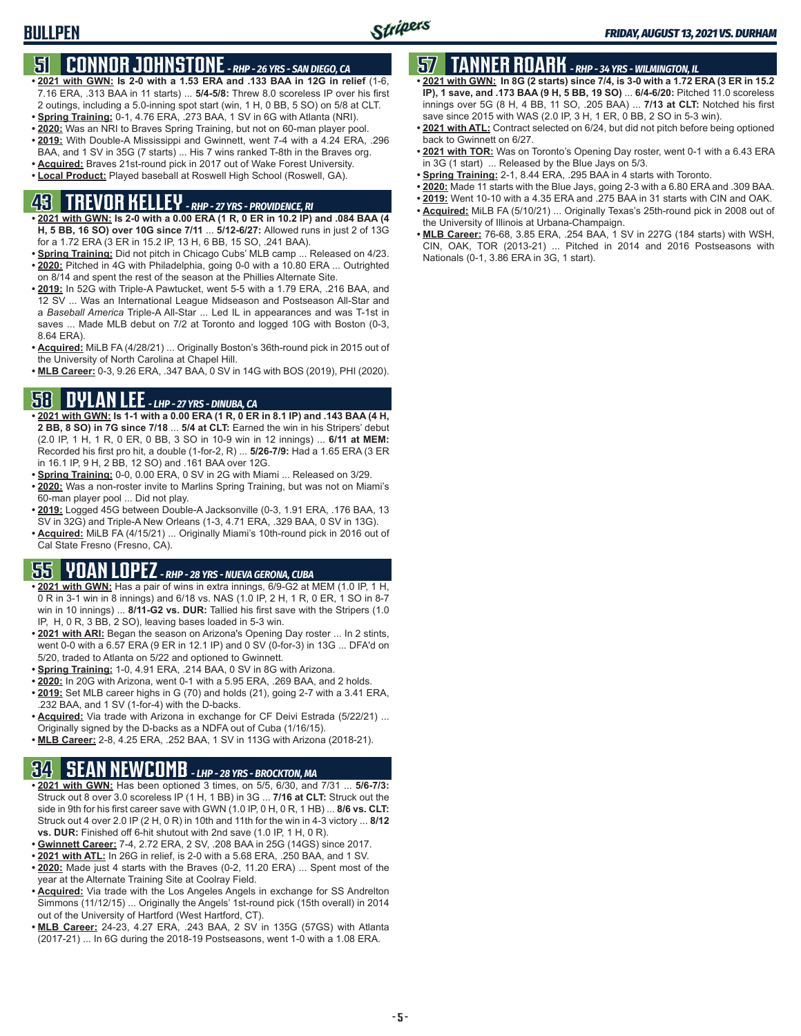# **BULLPEN**

### **51 CONNOR JOHNSTONE** *- RHP - 26 YRS - SAN DIEGO, CA*

- **• 2021 with GWN: Is 2-0 with a 1.53 ERA and .133 BAA in 12G in relief** (1-6, 7.16 ERA, .313 BAA in 11 starts) ... **5/4-5/8:** Threw 8.0 scoreless IP over his first 2 outings, including a 5.0-inning spot start (win, 1 H, 0 BB, 5 SO) on 5/8 at CLT.
- **• Spring Training:** 0-1, 4.76 ERA, .273 BAA, 1 SV in 6G with Atlanta (NRI).
- **• 2020:** Was an NRI to Braves Spring Training, but not on 60-man player pool.
- **• 2019:** With Double-A Mississippi and Gwinnett, went 7-4 with a 4.24 ERA, .296 BAA, and 1 SV in 35G (7 starts) ... His 7 wins ranked T-8th in the Braves org.
- **• Acquired:** Braves 21st-round pick in 2017 out of Wake Forest University.
- **• Local Product:** Played baseball at Roswell High School (Roswell, GA).

## **43 TREVOR KELLEY** *- RHP - 27 YRS - PROVIDENCE, RI*

- **• 2021 with GWN: Is 2-0 with a 0.00 ERA (1 R, 0 ER in 10.2 IP) and .084 BAA (4 H, 5 BB, 16 SO) over 10G since 7/11** ... **5/12-6/27:** Allowed runs in just 2 of 13G for a 1.72 ERA (3 ER in 15.2 IP, 13 H, 6 BB, 15 SO, .241 BAA).
- **• Spring Training:** Did not pitch in Chicago Cubs' MLB camp ... Released on 4/23. **• 2020:** Pitched in 4G with Philadelphia, going 0-0 with a 10.80 ERA ... Outrighted on 8/14 and spent the rest of the season at the Phillies Alternate Site.
- **• 2019:** In 52G with Triple-A Pawtucket, went 5-5 with a 1.79 ERA, .216 BAA, and 12 SV ... Was an International League Midseason and Postseason All-Star and a *Baseball America* Triple-A All-Star ... Led IL in appearances and was T-1st in saves ... Made MLB debut on 7/2 at Toronto and logged 10G with Boston (0-3, 8.64 ERA).
- **• Acquired:** MiLB FA (4/28/21) ... Originally Boston's 36th-round pick in 2015 out of the University of North Carolina at Chapel Hill.
- **• MLB Career:** 0-3, 9.26 ERA, .347 BAA, 0 SV in 14G with BOS (2019), PHI (2020).

### **58 DYLAN LEE** *- LHP - 27 YRS - DINUBA, CA*

- **• 2021 with GWN: Is 1-1 with a 0.00 ERA (1 R, 0 ER in 8.1 IP) and .143 BAA (4 H, 2 BB, 8 SO) in 7G since 7/18** ... **5/4 at CLT:** Earned the win in his Stripers' debut (2.0 IP, 1 H, 1 R, 0 ER, 0 BB, 3 SO in 10-9 win in 12 innings) ... **6/11 at MEM:** Recorded his first pro hit, a double (1-for-2, R) ... **5/26-7/9:** Had a 1.65 ERA (3 ER in 16.1 IP, 9 H, 2 BB, 12 SO) and .161 BAA over 12G.
- **• Spring Training:** 0-0, 0.00 ERA, 0 SV in 2G with Miami ... Released on 3/29.
- **• 2020:** Was a non-roster invite to Marlins Spring Training, but was not on Miami's 60-man player pool ... Did not play.
- **• 2019:** Logged 45G between Double-A Jacksonville (0-3, 1.91 ERA, .176 BAA, 13 SV in 32G) and Triple-A New Orleans (1-3, 4.71 ERA, .329 BAA, 0 SV in 13G).
- **• Acquired:** MiLB FA (4/15/21) ... Originally Miami's 10th-round pick in 2016 out of Cal State Fresno (Fresno, CA).

## **55 YOAN LOPEZ** *- RHP - 28 YRS - NUEVA GERONA, CUBA*

- **• 2021 with GWN:** Has a pair of wins in extra innings, 6/9-G2 at MEM (1.0 IP, 1 H, 0 R in 3-1 win in 8 innings) and 6/18 vs. NAS (1.0 IP, 2 H, 1 R, 0 ER, 1 SO in 8-7 win in 10 innings) ... **8/11-G2 vs. DUR:** Tallied his first save with the Stripers (1.0 IP, H, 0 R, 3 BB, 2 SO), leaving bases loaded in 5-3 win.
- **• 2021 with ARI:** Began the season on Arizona's Opening Day roster ... In 2 stints, went 0-0 with a 6.57 ERA (9 ER in 12.1 IP) and 0 SV (0-for-3) in 13G ... DFA'd on 5/20, traded to Atlanta on 5/22 and optioned to Gwinnett.
- **• Spring Training:** 1-0, 4.91 ERA, .214 BAA, 0 SV in 8G with Arizona.
- **• 2020:** In 20G with Arizona, went 0-1 with a 5.95 ERA, .269 BAA, and 2 holds.
- **• 2019:** Set MLB career highs in G (70) and holds (21), going 2-7 with a 3.41 ERA, .232 BAA, and 1 SV (1-for-4) with the D-backs.
- **• Acquired:** Via trade with Arizona in exchange for CF Deivi Estrada (5/22/21) ... Originally signed by the D-backs as a NDFA out of Cuba (1/16/15).
- **• MLB Career:** 2-8, 4.25 ERA, .252 BAA, 1 SV in 113G with Arizona (2018-21).

### **34 SEAN NEWCOMB** *- LHP - 28 YRS - BROCKTON, MA*

- **• 2021 with GWN:** Has been optioned 3 times, on 5/5, 6/30, and 7/31 ... **5/6-7/3:** Struck out 8 over 3.0 scoreless IP (1 H, 1 BB) in 3G ... **7/16 at CLT:** Struck out the side in 9th for his first career save with GWN (1.0 IP, 0 H, 0 R, 1 HB) ... **8/6 vs. CLT:** Struck out 4 over 2.0 IP (2 H, 0 R) in 10th and 11th for the win in 4-3 victory ... **8/12 vs. DUR:** Finished off 6-hit shutout with 2nd save (1.0 IP, 1 H, 0 R).
- **• Gwinnett Career:** 7-4, 2.72 ERA, 2 SV, .208 BAA in 25G (14GS) since 2017.
- **• 2021 with ATL:** In 26G in relief, is 2-0 with a 5.68 ERA, .250 BAA, and 1 SV.
- **• 2020:** Made just 4 starts with the Braves (0-2, 11.20 ERA) ... Spent most of the year at the Alternate Training Site at Coolray Field.
- **• Acquired:** Via trade with the Los Angeles Angels in exchange for SS Andrelton Simmons (11/12/15) ... Originally the Angels' 1st-round pick (15th overall) in 2014 out of the University of Hartford (West Hartford, CT).
- **• MLB Career:** 24-23, 4.27 ERA, .243 BAA, 2 SV in 135G (57GS) with Atlanta (2017-21) ... In 6G during the 2018-19 Postseasons, went 1-0 with a 1.08 ERA.

## **57 TANNER ROARK** *- RHP - 34 YRS - WILMINGTON, IL*

- **• 2021 with GWN: In 8G (2 starts) since 7/4, is 3-0 with a 1.72 ERA (3 ER in 15.2 IP), 1 save, and .173 BAA (9 H, 5 BB, 19 SO)** ... **6/4-6/20:** Pitched 11.0 scoreless innings over 5G (8 H, 4 BB, 11 SO, .205 BAA) ... **7/13 at CLT:** Notched his first save since 2015 with WAS (2.0 IP, 3 H, 1 ER, 0 BB, 2 SO in 5-3 win).
- **• 2021 with ATL:** Contract selected on 6/24, but did not pitch before being optioned back to Gwinnett on 6/27.
- **• 2021 with TOR:** Was on Toronto's Opening Day roster, went 0-1 with a 6.43 ERA in 3G (1 start) ... Released by the Blue Jays on 5/3.
- **• Spring Training:** 2-1, 8.44 ERA, .295 BAA in 4 starts with Toronto.
- **• 2020:** Made 11 starts with the Blue Jays, going 2-3 with a 6.80 ERA and .309 BAA.
- **• 2019:** Went 10-10 with a 4.35 ERA and .275 BAA in 31 starts with CIN and OAK.
- **• Acquired:** MiLB FA (5/10/21) ... Originally Texas's 25th-round pick in 2008 out of the University of Illinois at Urbana-Champaign.
- **• MLB Career:** 76-68, 3.85 ERA, .254 BAA, 1 SV in 227G (184 starts) with WSH, CIN, OAK, TOR (2013-21) ... Pitched in 2014 and 2016 Postseasons with Nationals (0-1, 3.86 ERA in 3G, 1 start).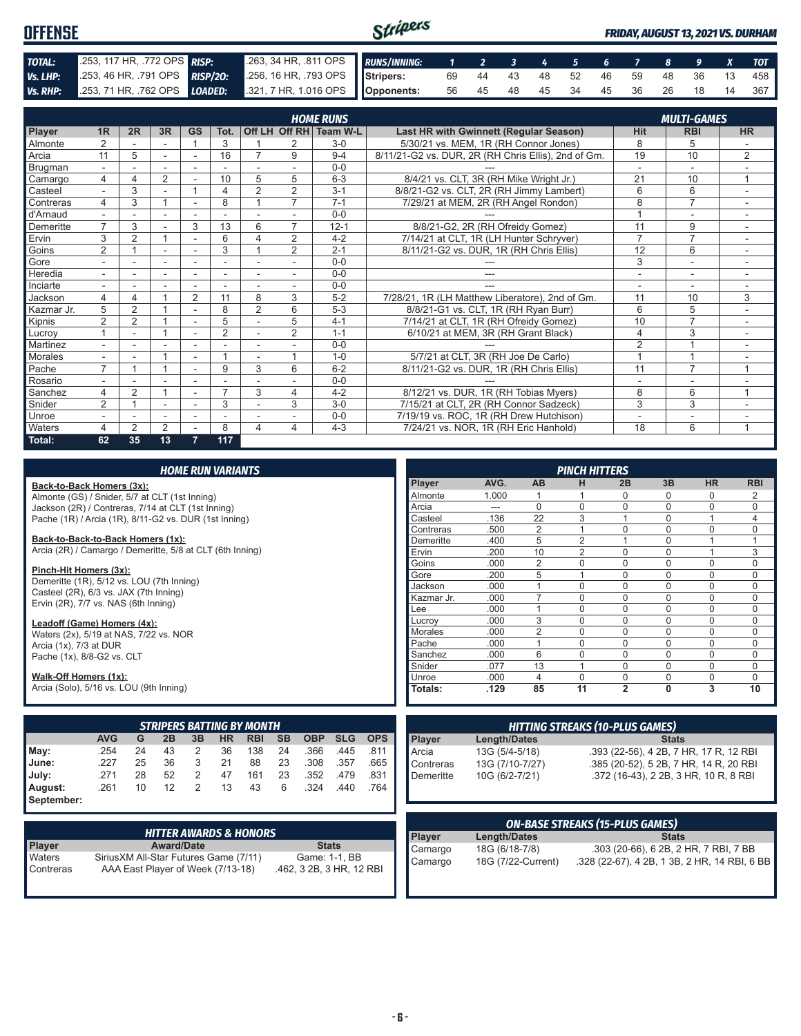| <b>OFFENSE</b> |                                                                      |                                                          | Stripers |  |  |  |  |  | <b>FRIDAY, AUGUST 13, 2021 VS. DURHAM</b> |
|----------------|----------------------------------------------------------------------|----------------------------------------------------------|----------|--|--|--|--|--|-------------------------------------------|
| TOTAL:         | 253, 117 HR, 772 OPS RISP:                                           | 263, 34 HR, 811 OPS RUNS/INNING: 1 2 3 4 5 6 7 8 9 X TOT |          |  |  |  |  |  |                                           |
| Vs. LHP:       | 253, 46 HR, 791 OPS RISP/20:                                         | 256, 16 HR, 793 OPS Stripers:                            |          |  |  |  |  |  | 69 44 43 48 52 46 59 48 36 13 458         |
|                | Vs. RHP: 253, 71 HR, 762 OPS LOADED: 321, 7 HR, 1.016 OPS Opponents: |                                                          |          |  |  |  |  |  | 56 45 48 45 34 45 36 26 18 14 367         |

|            | <b>HOME RUNS</b><br><b>MULTI-GAMES</b> |                |                |                          |                |                          |                |                        |                                                     |                |                |                          |
|------------|----------------------------------------|----------------|----------------|--------------------------|----------------|--------------------------|----------------|------------------------|-----------------------------------------------------|----------------|----------------|--------------------------|
| Player     | 1 <sub>R</sub>                         | 2R             | 3R             | <b>GS</b>                | Tot.           |                          |                | Off LH Off RH Team W-L | Last HR with Gwinnett (Regular Season)              | <b>Hit</b>     | <b>RBI</b>     | <b>HR</b>                |
| Almonte    | 2                                      |                |                |                          | 3              |                          | 2              | $3-0$                  | 5/30/21 vs. MEM, 1R (RH Connor Jones)               | 8              | 5              |                          |
| Arcia      | 11                                     | 5              | ۰              | $\overline{\phantom{0}}$ | 16             |                          | 9              | $9 - 4$                | 8/11/21-G2 vs. DUR, 2R (RH Chris Ellis), 2nd of Gm. | 19             | 10             | $\overline{2}$           |
| Brugman    |                                        |                |                |                          |                |                          |                | $0 - 0$                |                                                     |                | $\sim$         |                          |
| Camargo    | $\overline{4}$                         | Δ              | $\overline{2}$ |                          | 10             | 5                        | 5              | $6 - 3$                | 8/4/21 vs. CLT, 3R (RH Mike Wright Jr.)             | 21             | 10             | 1                        |
| Casteel    |                                        | 3              |                |                          | 4              | $\overline{2}$           | 2              | $3 - 1$                | 8/8/21-G2 vs. CLT, 2R (RH Jimmy Lambert)            | 6              | 6              |                          |
| Contreras  | 4                                      | 3              |                | $\overline{\phantom{a}}$ | 8              |                          | $\overline{7}$ | $7 - 1$                | 7/29/21 at MEM, 2R (RH Angel Rondon)                | 8              | $\overline{7}$ |                          |
| d'Arnaud   |                                        |                | ۰              | ٠                        |                |                          |                | $0 - 0$                |                                                     |                | ۰              | ٠                        |
| Demeritte  | $\overline{7}$                         | 3              |                | 3                        | 13             | 6                        | 7              | $12 - 1$               | 8/8/21-G2, 2R (RH Ofreidy Gomez)                    | 11             | 9              |                          |
| Ervin      | 3                                      | 2              |                | ٠                        | 6              | $\Delta$                 | 2              | $4 - 2$                | 7/14/21 at CLT, 1R (LH Hunter Schryver)             | $\overline{7}$ | $\overline{7}$ | $\sim$                   |
| Goins      | $\overline{2}$                         |                |                |                          | 3              |                          | $\overline{2}$ | $2 - 1$                | 8/11/21-G2 vs. DUR, 1R (RH Chris Ellis)             | 12             | 6              |                          |
| Gore       |                                        |                | ٠              |                          | ۰              |                          |                | $0 - 0$                |                                                     | 3              | $\overline{a}$ |                          |
| Heredia    | $\sim$                                 |                | ٠              | ٠                        | ۰              |                          |                | $0 - 0$                |                                                     |                | ۰              |                          |
| Inciarte   | $\sim$                                 |                |                | $\overline{\phantom{a}}$ |                |                          |                | $0 - 0$                |                                                     | ٠              | ٠              |                          |
| Jackson    | 4                                      | 4              |                | 2                        | 11             | 8                        | 3              | $5-2$                  | 7/28/21, 1R (LH Matthew Liberatore), 2nd of Gm.     | 11             | 10             | 3                        |
| Kazmar Jr. | 5                                      | $\overline{2}$ |                |                          | 8              | $\overline{2}$           | 6              | $5 - 3$                | 8/8/21-G1 vs. CLT, 1R (RH Ryan Burr)                | 6              | 5              |                          |
| Kipnis     | $\overline{2}$                         | $\overline{2}$ |                | ۰                        | 5              |                          | 5              | $4 - 1$                | 7/14/21 at CLT, 1R (RH Ofreidy Gomez)               | 10             | 7              | ٠                        |
| Lucrov     |                                        |                |                |                          | $\overline{2}$ |                          | $\overline{2}$ | $1 - 1$                | 6/10/21 at MEM, 3R (RH Grant Black)                 | 4              | 3              | ٠                        |
| Martinez   |                                        |                |                |                          |                |                          |                | $0 - 0$                |                                                     | $\overline{2}$ |                |                          |
| Morales    | $\overline{\phantom{a}}$               |                |                | $\overline{\phantom{a}}$ |                | $\overline{\phantom{a}}$ |                | $1 - 0$                | 5/7/21 at CLT, 3R (RH Joe De Carlo)                 |                |                | $\overline{\phantom{a}}$ |
| Pache      | $\overline{ }$                         |                |                | ÷                        | 9              | 3                        | 6              | $6 - 2$                | 8/11/21-G2 vs. DUR, 1R (RH Chris Ellis)             | 11             | $\overline{7}$ | $\overline{ }$           |
| Rosario    |                                        |                |                |                          |                |                          |                | $0 - 0$                |                                                     |                | ۰              |                          |
| Sanchez    | 4                                      | $\overline{2}$ |                |                          | $\overline{ }$ | 3                        | 4              | $4 - 2$                | 8/12/21 vs. DUR, 1R (RH Tobias Myers)               | 8              | 6              | $\overline{A}$           |
| Snider     | $\overline{2}$                         |                | ۰              | ۰                        | 3              |                          | 3              | $3-0$                  | 7/15/21 at CLT, 2R (RH Connor Sadzeck)              | 3              | 3              |                          |
| Unroe      | $\overline{\phantom{a}}$               |                | ٠              | ۰                        | ٠              |                          |                | $0-0$                  | 7/19/19 vs. ROC, 1R (RH Drew Hutchison)             | ۰              | ٠              | $\overline{\phantom{a}}$ |
| Waters     | 4                                      | $\mathcal{P}$  | $\overline{2}$ |                          | 8              | 4                        | 4              | $4 - 3$                | 7/24/21 vs. NOR, 1R (RH Eric Hanhold)               | 18             | 6              | $\overline{A}$           |
| Total:     | 62                                     | 35             | 13             |                          | 117            |                          |                |                        |                                                     |                |                |                          |

|                                                                     |                                       |    |                   |                | <b>HOME RUN VARIANTS</b>          |            |           |               |            |            |            |                     |                | <b>PINCH HITTERS</b> |                                              |              |             |             |
|---------------------------------------------------------------------|---------------------------------------|----|-------------------|----------------|-----------------------------------|------------|-----------|---------------|------------|------------|------------|---------------------|----------------|----------------------|----------------------------------------------|--------------|-------------|-------------|
| Back-to-Back Homers (3x):                                           |                                       |    |                   |                |                                   |            |           |               |            |            | Player     | AVG.                | <b>AB</b>      | н                    | 2B                                           | 3B           | <b>HR</b>   | <b>RBI</b>  |
| Almonte (GS) / Snider, 5/7 at CLT (1st Inning)                      |                                       |    |                   |                |                                   |            |           |               |            |            | Almonte    | 1.000               |                |                      | 0                                            | $\Omega$     | 0           | 2           |
| Jackson (2R) / Contreras, 7/14 at CLT (1st Inning)                  |                                       |    |                   |                |                                   |            |           |               |            |            | Arcia      | $---$               | $\mathbf 0$    | $\Omega$             | $\Omega$                                     | $\Omega$     | $\mathbf 0$ | 0           |
| Pache (1R) / Arcia (1R), 8/11-G2 vs. DUR (1st Inning)               |                                       |    |                   |                |                                   |            |           |               |            |            | Casteel    | .136                | 22             | 3                    | 1                                            | $\Omega$     | 1           | 4           |
|                                                                     |                                       |    |                   |                |                                   |            |           |               |            |            | Contreras  | .500                | $\overline{2}$ |                      | $\Omega$                                     | $\Omega$     | 0           | 0           |
| Back-to-Back-to-Back Homers (1x):                                   |                                       |    |                   |                |                                   |            |           |               |            | Demeritte  | .400       | 5                   | $\overline{2}$ | 1                    | $\Omega$                                     |              | 1           |             |
| Arcia (2R) / Camargo / Demeritte, 5/8 at CLT (6th Inning)           |                                       |    |                   |                |                                   |            |           |               |            |            | Ervin      | .200                | 10             | $\overline{2}$       | $\Omega$                                     | $\Omega$     | 1           | 3           |
|                                                                     |                                       |    |                   |                |                                   |            |           |               |            |            | Goins      | .000                | $\overline{2}$ | $\Omega$             | $\overline{0}$                               | $\Omega$     | $\mathbf 0$ | 0           |
| Pinch-Hit Homers (3x):<br>Demeritte (1R), 5/12 vs. LOU (7th Inning) |                                       |    |                   |                |                                   |            |           |               |            |            | Gore       | .200                | 5              |                      | $\Omega$                                     | $\Omega$     | $\mathbf 0$ | 0           |
| Casteel (2R), 6/3 vs. JAX (7th Inning)                              |                                       |    |                   |                |                                   |            |           |               |            |            | Jackson    | .000                |                | $\mathbf 0$          | $\Omega$                                     | $\Omega$     | $\mathbf 0$ | $\mathbf 0$ |
| Ervin (2R), 7/7 vs. NAS (6th Inning)                                |                                       |    |                   |                |                                   |            |           |               |            |            | Kazmar Jr. | .000                | $\overline{7}$ | $\mathbf 0$          | $\Omega$                                     | $\Omega$     | $\mathbf 0$ | $\mathbf 0$ |
|                                                                     |                                       |    |                   |                |                                   |            |           |               |            |            | Lee        | .000                |                | $\mathbf 0$          | $\Omega$                                     | $\Omega$     | $\mathbf 0$ | 0           |
| Leadoff (Game) Homers (4x):                                         |                                       |    |                   |                |                                   |            |           |               |            |            | Lucrov     | .000                | 3              | $\mathbf 0$          | $\Omega$                                     | $\Omega$     | $\mathbf 0$ | 0           |
| Waters (2x), 5/19 at NAS, 7/22 vs. NOR                              |                                       |    |                   |                |                                   |            |           |               |            |            | Morales    | .000                | $\overline{2}$ | $\Omega$             | $\Omega$                                     | $\Omega$     | $\mathbf 0$ | 0           |
| Arcia (1x), 7/3 at DUR                                              |                                       |    |                   |                |                                   |            |           | Pache         | .000       |            | $\Omega$   | $\Omega$            | $\Omega$       | $\Omega$             | 0                                            |              |             |             |
| Pache (1x), 8/8-G2 vs. CLT                                          |                                       |    |                   |                |                                   |            |           |               |            |            | Sanchez    | .000                | 6              | $\Omega$             | $\Omega$                                     | $\Omega$     | $\mathbf 0$ | $\mathbf 0$ |
|                                                                     |                                       |    |                   |                |                                   |            |           |               |            |            | Snider     | .077                | 13             |                      | $\Omega$                                     | $\Omega$     | $\mathbf 0$ | $\mathbf 0$ |
| Walk-Off Homers (1x):                                               |                                       |    |                   |                |                                   |            |           |               |            |            | Unroe      | .000                | $\overline{4}$ | $\mathbf 0$          | 0                                            | 0            | $\mathsf 0$ | $\mathbf 0$ |
| Arcia (Solo), 5/16 vs. LOU (9th Inning)                             |                                       |    |                   |                |                                   |            |           |               |            |            | Totals:    | .129                | 85             | 11                   | $\overline{2}$                               | $\mathbf{0}$ | 3           | 10          |
|                                                                     |                                       |    |                   |                |                                   |            |           |               |            |            |            |                     |                |                      |                                              |              |             |             |
|                                                                     |                                       |    |                   |                | <b>STRIPERS BATTING BY MONTH</b>  |            |           |               |            |            |            |                     |                |                      | <b>HITTING STREAKS (10-PLUS GAMES)</b>       |              |             |             |
|                                                                     | <b>AVG</b>                            | G  | 2B                | 3B             | <b>HR</b>                         | <b>RBI</b> | <b>SB</b> | <b>OBP</b>    | <b>SLG</b> | <b>OPS</b> | Player     | <b>Length/Dates</b> |                |                      |                                              | <b>Stats</b> |             |             |
| May:                                                                | .254                                  | 24 | 43                | 2              | 36                                | 138        | 24        | .366          | .445       | .811       | Arcia      | 13G (5/4-5/18)      |                |                      | .393 (22-56), 4 2B, 7 HR, 17 R, 12 RBI       |              |             |             |
| June:                                                               | .227                                  | 25 | 36                | 3              | 21                                | 88         | 23        | .308          | .357       | .665       | Contreras  | 13G (7/10-7/27)     |                |                      | .385 (20-52), 5 2B, 7 HR, 14 R, 20 RBI       |              |             |             |
| July:                                                               | .271                                  | 28 | 52                | 2              | 47                                | 161        | 23        | .352          | .479       | .831       | Demeritte  | 10G (6/2-7/21)      |                |                      | .372 (16-43), 2 2B, 3 HR, 10 R, 8 RBI        |              |             |             |
| August:                                                             | .261                                  | 10 | 12                | $\overline{2}$ | 13                                | 43         | 6         | .324          | .440       | .764       |            |                     |                |                      |                                              |              |             |             |
| September:                                                          |                                       |    |                   |                |                                   |            |           |               |            |            |            |                     |                |                      |                                              |              |             |             |
|                                                                     |                                       |    |                   |                |                                   |            |           |               |            |            |            |                     |                |                      |                                              |              |             |             |
|                                                                     |                                       |    |                   |                |                                   |            |           |               |            |            |            |                     |                |                      | <b>ON-BASE STREAKS (15-PLUS GAMES)</b>       |              |             |             |
|                                                                     |                                       |    |                   |                | <b>HITTER AWARDS &amp; HONORS</b> |            |           |               |            |            | Player     | <b>Length/Dates</b> |                |                      |                                              | <b>Stats</b> |             |             |
| Player                                                              |                                       |    | <b>Award/Date</b> |                |                                   |            |           | <b>Stats</b>  |            |            | Camargo    | 18G (6/18-7/8)      |                |                      | .303 (20-66), 6 2B, 2 HR, 7 RBI, 7 BB        |              |             |             |
| Waters                                                              | SiriusXM All-Star Futures Game (7/11) |    |                   |                |                                   |            |           | Game: 1-1, BB |            |            | Camargo    | 18G (7/22-Current)  |                |                      | .328 (22-67), 4 2B, 1 3B, 2 HR, 14 RBI, 6 BB |              |             |             |
|                                                                     |                                       |    |                   |                |                                   |            |           |               |            |            |            |                     |                |                      |                                              |              |             |             |

Contreras AAA East Player of Week (7/13-18) .462, 3 2B, 3 HR, 12 RBI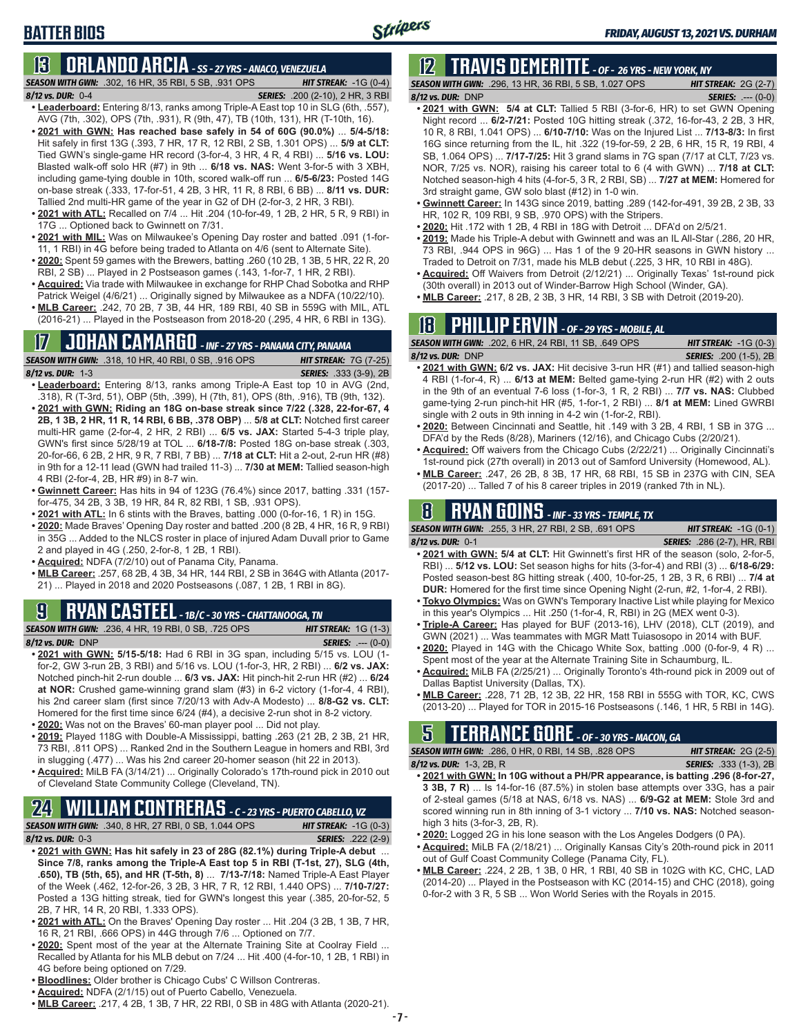### **BATTER BIOS**

### **13 ORLANDO ARCIA** *- SS - 27 YRS - ANACO, VENEZUELA*

*SEASON WITH GWN:*.302, 16 HR, 35 RBI, 5 SB, .931 OPS *HIT STREAK:* -1G (0-4)

- *8/12 vs. DUR:*0-4 *SERIES:* .200 (2-10), 2 HR, 3 RBI **• Leaderboard:** Entering 8/13, ranks among Triple-A East top 10 in SLG (6th, .557), AVG (7th, .302), OPS (7th, .931), R (9th, 47), TB (10th, 131), HR (T-10th, 16).
- **• 2021 with GWN: Has reached base safely in 54 of 60G (90.0%)** ... **5/4-5/18:**  Hit safely in first 13G (.393, 7 HR, 17 R, 12 RBI, 2 SB, 1.301 OPS) ... **5/9 at CLT:** Tied GWN's single-game HR record (3-for-4, 3 HR, 4 R, 4 RBI) ... **5/16 vs. LOU:** Blasted walk-off solo HR (#7) in 9th ... **6/18 vs. NAS:** Went 3-for-5 with 3 XBH, including game-tying double in 10th, scored walk-off run ... **6/5-6/23:** Posted 14G on-base streak (.333, 17-for-51, 4 2B, 3 HR, 11 R, 8 RBI, 6 BB) ... **8/11 vs. DUR:** Tallied 2nd multi-HR game of the year in G2 of DH (2-for-3, 2 HR, 3 RBI).
- **• 2021 with ATL:** Recalled on 7/4 ... Hit .204 (10-for-49, 1 2B, 2 HR, 5 R, 9 RBI) in 17G ... Optioned back to Gwinnett on 7/31.
- **• 2021 with MIL:** Was on Milwaukee's Opening Day roster and batted .091 (1-for-11, 1 RBI) in 4G before being traded to Atlanta on 4/6 (sent to Alternate Site).
- **• 2020:** Spent 59 games with the Brewers, batting .260 (10 2B, 1 3B, 5 HR, 22 R, 20 RBI, 2 SB) ... Played in 2 Postseason games (.143, 1-for-7, 1 HR, 2 RBI).
- **• Acquired:** Via trade with Milwaukee in exchange for RHP Chad Sobotka and RHP Patrick Weigel (4/6/21) ... Originally signed by Milwaukee as a NDFA (10/22/10).
- **• MLB Career:** .242, 70 2B, 7 3B, 44 HR, 189 RBI, 40 SB in 559G with MIL, ATL (2016-21) ... Played in the Postseason from 2018-20 (.295, 4 HR, 6 RBI in 13G).

# **17 JOHAN CAMARGO** *- INF - 27 YRS - PANAMA CITY, PANAMA*

**SEASON WITH GWN:** .318, 10 HR, 40 RBI, 0 SB, .916 OPS

- *8/12 vs. DUR:* 1-3 *SERIES:* .333 (3-9), 2B
- **• Leaderboard:** Entering 8/13, ranks among Triple-A East top 10 in AVG (2nd, .318), R (T-3rd, 51), OBP (5th, .399), H (7th, 81), OPS (8th, .916), TB (9th, 132).
- **• 2021 with GWN: Riding an 18G on-base streak since 7/22 (.328, 22-for-67, 4 2B, 1 3B, 2 HR, 11 R, 14 RBI, 6 BB, .378 OBP)** ... **5/8 at CLT:** Notched first career multi-HR game (2-for-4, 2 HR, 2 RBI) ... **6/5 vs. JAX:** Started 5-4-3 triple play, GWN's first since 5/28/19 at TOL ... **6/18-7/8:** Posted 18G on-base streak (.303, 20-for-66, 6 2B, 2 HR, 9 R, 7 RBI, 7 BB) ... **7/18 at CLT:** Hit a 2-out, 2-run HR (#8) in 9th for a 12-11 lead (GWN had trailed 11-3) ... **7/30 at MEM:** Tallied season-high 4 RBI (2-for-4, 2B, HR #9) in 8-7 win.
- **• Gwinnett Career:** Has hits in 94 of 123G (76.4%) since 2017, batting .331 (157 for-475, 34 2B, 3 3B, 19 HR, 84 R, 82 RBI, 1 SB, .931 OPS).
- **• 2021 with ATL:** In 6 stints with the Braves, batting .000 (0-for-16, 1 R) in 15G.
- **• 2020:** Made Braves' Opening Day roster and batted .200 (8 2B, 4 HR, 16 R, 9 RBI) in 35G ... Added to the NLCS roster in place of injured Adam Duvall prior to Game 2 and played in 4G (.250, 2-for-8, 1 2B, 1 RBI).
- **• Acquired:** NDFA (7/2/10) out of Panama City, Panama.
- **• MLB Career:** .257, 68 2B, 4 3B, 34 HR, 144 RBI, 2 SB in 364G with Atlanta (2017- 21) ... Played in 2018 and 2020 Postseasons (.087, 1 2B, 1 RBI in 8G).

### **9 RYAN CASTEEL** *- 1B/C - 30 YRS - CHATTANOOGA, TN*

*SEASON WITH GWN:*.236, 4 HR, 19 RBI, 0 SB, .725 OPS *HIT STREAK:* 1G (1-3) *8/12 vs. DUR:*DNP *SERIES:* .--- (0-0)

- **• 2021 with GWN: 5/15-5/18:** Had 6 RBI in 3G span, including 5/15 vs. LOU (1 for-2, GW 3-run 2B, 3 RBI) and 5/16 vs. LOU (1-for-3, HR, 2 RBI) ... **6/2 vs. JAX:** Notched pinch-hit 2-run double ... **6/3 vs. JAX:** Hit pinch-hit 2-run HR (#2) ... **6/24 at NOR:** Crushed game-winning grand slam (#3) in 6-2 victory (1-for-4, 4 RBI), his 2nd career slam (first since 7/20/13 with Adv-A Modesto) ... **8/8-G2 vs. CLT:** Homered for the first time since 6/24 (#4), a decisive 2-run shot in 8-2 victory.
- **• 2020:** Was not on the Braves' 60-man player pool ... Did not play.
- **• 2019:** Played 118G with Double-A Mississippi, batting .263 (21 2B, 2 3B, 21 HR, 73 RBI, .811 OPS) ... Ranked 2nd in the Southern League in homers and RBI, 3rd in slugging (.477) ... Was his 2nd career 20-homer season (hit 22 in 2013).
- **• Acquired:** MiLB FA (3/14/21) ... Originally Colorado's 17th-round pick in 2010 out of Cleveland State Community College (Cleveland, TN).

## **24 WILLIAM CONTRERAS** *- C - 23 YRS - PUERTO CABELLO, VZ*

- *SEASON WITH GWN:*.340, 8 HR, 27 RBI, 0 SB, 1.044 OPS *HIT STREAK:* -1G (0-3) *8/12 vs. DUR:* 0-3 *SERIES:* .222 (2-9)
- **• 2021 with GWN: Has hit safely in 23 of 28G (82.1%) during Triple-A debut** ... **Since 7/8, ranks among the Triple-A East top 5 in RBI (T-1st, 27), SLG (4th, .650), TB (5th, 65), and HR (T-5th, 8)** ... **7/13-7/18:** Named Triple-A East Player of the Week (.462, 12-for-26, 3 2B, 3 HR, 7 R, 12 RBI, 1.440 OPS) ... **7/10-7/27:** Posted a 13G hitting streak, tied for GWN's longest this year (.385, 20-for-52, 5 2B, 7 HR, 14 R, 20 RBI, 1.333 OPS).
- **• 2021 with ATL:** On the Braves' Opening Day roster ... Hit .204 (3 2B, 1 3B, 7 HR, 16 R, 21 RBI, .666 OPS) in 44G through 7/6 ... Optioned on 7/7.
- **• 2020:** Spent most of the year at the Alternate Training Site at Coolray Field ... Recalled by Atlanta for his MLB debut on 7/24 ... Hit .400 (4-for-10, 1 2B, 1 RBI) in 4G before being optioned on 7/29.
- **• Bloodlines:** Older brother is Chicago Cubs' C Willson Contreras.
- **• Acquired:** NDFA (2/1/15) out of Puerto Cabello, Venezuela.
- **• MLB Career:** .217, 4 2B, 1 3B, 7 HR, 22 RBI, 0 SB in 48G with Atlanta (2020-21).

## **12 TRAVIS DEMERITTE** *- OF - 26 YRS - NEW YORK, NY*

*SEASON WITH GWN:*.296, 13 HR, 36 RBI, 5 SB, 1.027 OPS *HIT STREAK:* 2G (2-7) *8/12 vs. DUR:*DNP *SERIES:* .--- (0-0)

- **• 2021 with GWN: 5/4 at CLT:** Tallied 5 RBI (3-for-6, HR) to set GWN Opening Night record ... **6/2-7/21:** Posted 10G hitting streak (.372, 16-for-43, 2 2B, 3 HR, 10 R, 8 RBI, 1.041 OPS) ... **6/10-7/10:** Was on the Injured List ... **7/13-8/3:** In first 16G since returning from the IL, hit .322 (19-for-59, 2 2B, 6 HR, 15 R, 19 RBI, 4 SB, 1.064 OPS) ... **7/17-7/25:** Hit 3 grand slams in 7G span (7/17 at CLT, 7/23 vs. NOR, 7/25 vs. NOR), raising his career total to 6 (4 with GWN) ... **7/18 at CLT:** Notched season-high 4 hits (4-for-5, 3 R, 2 RBI, SB) ... **7/27 at MEM:** Homered for 3rd straight game, GW solo blast (#12) in 1-0 win.
- **• Gwinnett Career:** In 143G since 2019, batting .289 (142-for-491, 39 2B, 2 3B, 33 HR, 102 R, 109 RBI, 9 SB, .970 OPS) with the Stripers.
- **• 2020:** Hit .172 with 1 2B, 4 RBI in 18G with Detroit ... DFA'd on 2/5/21.
- **• 2019:** Made his Triple-A debut with Gwinnett and was an IL All-Star (.286, 20 HR, 73 RBI, .944 OPS in 96G) ... Has 1 of the 9 20-HR seasons in GWN history ... Traded to Detroit on 7/31, made his MLB debut (.225, 3 HR, 10 RBI in 48G).
- **• Acquired:** Off Waivers from Detroit (2/12/21) ... Originally Texas' 1st-round pick (30th overall) in 2013 out of Winder-Barrow High School (Winder, GA).
- **• MLB Career:** .217, 8 2B, 2 3B, 3 HR, 14 RBI, 3 SB with Detroit (2019-20).

### **18 PHILLIP ERVIN** *- OF - 29 YRS - MOBILE, AL*

|                   | <b>SEASON WITH GWN:</b> .202, 6 HR, 24 RBI, 11 SB, .649 OPS ' | <b>HIT STREAK:</b> $-1G(0-3)$ |
|-------------------|---------------------------------------------------------------|-------------------------------|
| 8/12 vs. DUR: DNP |                                                               | <b>SERIES:</b> .200 (1-5), 2B |

- **• 2021 with GWN: 6/2 vs. JAX:** Hit decisive 3-run HR (#1) and tallied season-high 4 RBI (1-for-4, R) ... **6/13 at MEM:** Belted game-tying 2-run HR (#2) with 2 outs in the 9th of an eventual 7-6 loss (1-for-3, 1 R, 2 RBI) ... **7/7 vs. NAS:** Clubbed game-tying 2-run pinch-hit HR (#5, 1-for-1, 2 RBI) ... **8/1 at MEM:** Lined GWRBI single with 2 outs in 9th inning in 4-2 win (1-for-2, RBI).
- **• 2020:** Between Cincinnati and Seattle, hit .149 with 3 2B, 4 RBI, 1 SB in 37G ... DFA'd by the Reds (8/28), Mariners (12/16), and Chicago Cubs (2/20/21).
- **• Acquired:** Off waivers from the Chicago Cubs (2/22/21) ... Originally Cincinnati's 1st-round pick (27th overall) in 2013 out of Samford University (Homewood, AL).
- **• MLB Career:** .247, 26 2B, 8 3B, 17 HR, 68 RBI, 15 SB in 237G with CIN, SEA (2017-20) ... Talled 7 of his 8 career triples in 2019 (ranked 7th in NL).

## **8 RYAN GOINS** *- INF - 33 YRS - TEMPLE, TX*

*SEASON WITH GWN:*.255, 3 HR, 27 RBI, 2 SB, .691 OPS *HIT STREAK:* -1G (0-1) *8/12 vs. DUR:*0-1 *SERIES:* .286 (2-7), HR, RBI

- 
- **• 2021 with GWN: 5/4 at CLT:** Hit Gwinnett's first HR of the season (solo, 2-for-5, RBI) ... **5/12 vs. LOU:** Set season highs for hits (3-for-4) and RBI (3) ... **6/18-6/29:** Posted season-best 8G hitting streak (.400, 10-for-25, 1 2B, 3 R, 6 RBI) ... **7/4 at DUR:** Homered for the first time since Opening Night (2-run, #2, 1-for-4, 2 RBI).
- **• Tokyo Olympics:** Was on GWN's Temporary Inactive List while playing for Mexico in this year's Olympics ... Hit .250 (1-for-4, R, RBI) in 2G (MEX went 0-3).
- **• Triple-A Career:** Has played for BUF (2013-16), LHV (2018), CLT (2019), and GWN (2021) ... Was teammates with MGR Matt Tuiasosopo in 2014 with BUF.
- **• 2020:** Played in 14G with the Chicago White Sox, batting .000 (0-for-9, 4 R) ... Spent most of the year at the Alternate Training Site in Schaumburg, IL.
- **• Acquired:** MiLB FA (2/25/21) ... Originally Toronto's 4th-round pick in 2009 out of Dallas Baptist University (Dallas, TX).
- **• MLB Career:** .228, 71 2B, 12 3B, 22 HR, 158 RBI in 555G with TOR, KC, CWS (2013-20) ... Played for TOR in 2015-16 Postseasons (.146, 1 HR, 5 RBI in 14G).

## **5 TERRANCE GORE** *- OF - 30 YRS - MACON, GA*

*SEASON WITH GWN:*.286, 0 HR, 0 RBI, 14 SB, .828 OPS *HIT STREAK:* 2G (2-5)

- *8/12 vs. DUR:*1-3, 2B, R *SERIES:* .333 (1-3), 2B **• 2021 with GWN: In 10G without a PH/PR appearance, is batting .296 (8-for-27, 3 3B, 7 R)** ... Is 14-for-16 (87.5%) in stolen base attempts over 33G, has a pair of 2-steal games (5/18 at NAS, 6/18 vs. NAS) ... **6/9-G2 at MEM:** Stole 3rd and scored winning run in 8th inning of 3-1 victory ... **7/10 vs. NAS:** Notched seasonhigh 3 hits (3-for-3, 2B, R).
- **• 2020:** Logged 2G in his lone season with the Los Angeles Dodgers (0 PA).
- **• Acquired:** MiLB FA (2/18/21) ... Originally Kansas City's 20th-round pick in 2011 out of Gulf Coast Community College (Panama City, FL).
- **• MLB Career:** .224, 2 2B, 1 3B, 0 HR, 1 RBI, 40 SB in 102G with KC, CHC, LAD (2014-20) ... Played in the Postseason with KC (2014-15) and CHC (2018), going 0-for-2 with 3 R, 5 SB ... Won World Series with the Royals in 2015.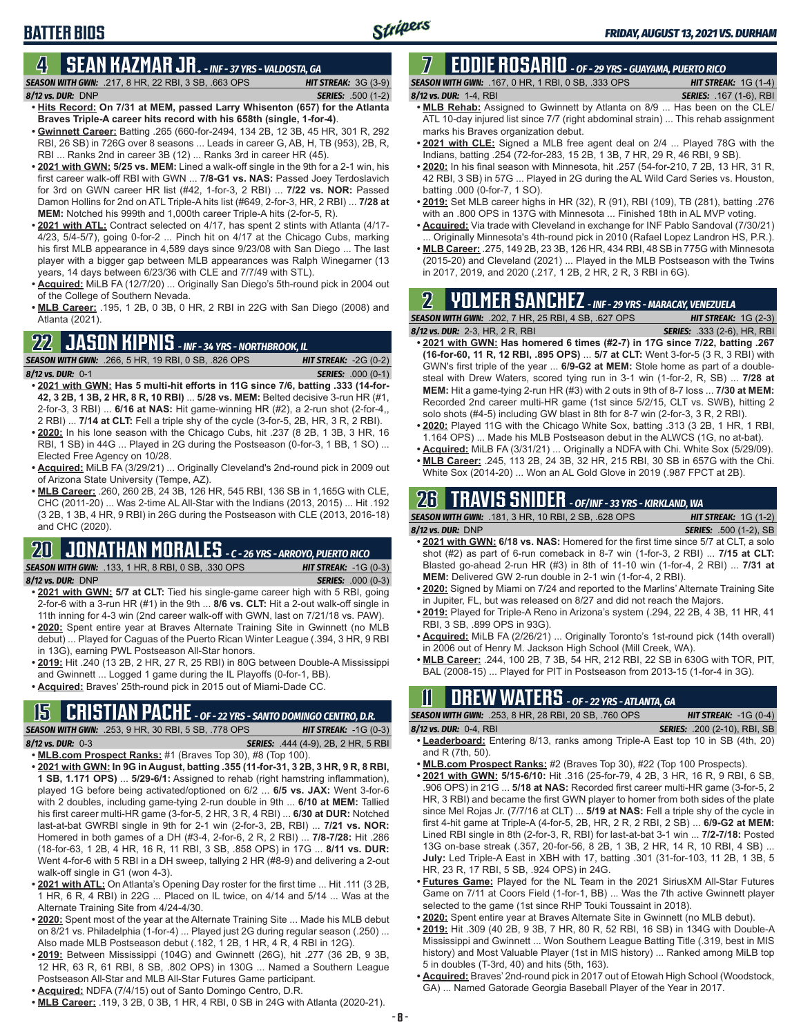## **BATTER BIOS**

#### **4 SEAN KAZMAR JR.** *- INF - 37 YRS - VALDOSTA, GA*

- *SEASON WITH GWN:*.217, 8 HR, 22 RBI, 3 SB, .663 OPS *HIT STREAK:* 3G (3-9) *8/12 vs. DUR:*DNP *SERIES:* .500 (1-2)
- **• Hits Record: On 7/31 at MEM, passed Larry Whisenton (657) for the Atlanta Braves Triple-A career hits record with his 658th (single, 1-for-4)**. **• Gwinnett Career:** Batting .265 (660-for-2494, 134 2B, 12 3B, 45 HR, 301 R, 292
- RBI, 26 SB) in 726G over 8 seasons ... Leads in career G, AB, H, TB (953), 2B, R, RBI ... Ranks 2nd in career 3B (12) ... Ranks 3rd in career HR (45).
- **• 2021 with GWN: 5/25 vs. MEM:** Lined a walk-off single in the 9th for a 2-1 win, his first career walk-off RBI with GWN ... **7/8-G1 vs. NAS:** Passed Joey Terdoslavich for 3rd on GWN career HR list (#42, 1-for-3, 2 RBI) ... **7/22 vs. NOR:** Passed Damon Hollins for 2nd on ATL Triple-A hits list (#649, 2-for-3, HR, 2 RBI) ... **7/28 at MEM:** Notched his 999th and 1,000th career Triple-A hits (2-for-5, R).
- **• 2021 with ATL:** Contract selected on 4/17, has spent 2 stints with Atlanta (4/17- 4/23, 5/4-5/7), going 0-for-2 ... Pinch hit on 4/17 at the Chicago Cubs, marking his first MLB appearance in 4,589 days since 9/23/08 with San Diego ... The last player with a bigger gap between MLB appearances was Ralph Winegarner (13 years, 14 days between 6/23/36 with CLE and 7/7/49 with STL).
- **• Acquired:** MiLB FA (12/7/20) ... Originally San Diego's 5th-round pick in 2004 out of the College of Southern Nevada.
- **• MLB Career:** .195, 1 2B, 0 3B, 0 HR, 2 RBI in 22G with San Diego (2008) and Atlanta (2021).

### **22 JASON KIPNIS** *- INF - 34 YRS - NORTHBROOK, IL*

*SEASON WITH GWN:*.266, 5 HR, 19 RBI, 0 SB, .826 OPS *HIT STREAK:* -2G (0-2) *8/12 vs. DUR:*0-1 *SERIES:* .000 (0-1)

- **• 2021 with GWN: Has 5 multi-hit efforts in 11G since 7/6, batting .333 (14-for-42, 3 2B, 1 3B, 2 HR, 8 R, 10 RBI)** ... **5/28 vs. MEM:** Belted decisive 3-run HR (#1, 2-for-3, 3 RBI) ... **6/16 at NAS:** Hit game-winning HR (#2), a 2-run shot (2-for-4,, 2 RBI) ... **7/14 at CLT:** Fell a triple shy of the cycle (3-for-5, 2B, HR, 3 R, 2 RBI).
- **• 2020:** In his lone season with the Chicago Cubs, hit .237 (8 2B, 1 3B, 3 HR, 16 RBI, 1 SB) in 44G ... Played in 2G during the Postseason (0-for-3, 1 BB, 1 SO) ... Elected Free Agency on 10/28.
- **• Acquired:** MiLB FA (3/29/21) ... Originally Cleveland's 2nd-round pick in 2009 out of Arizona State University (Tempe, AZ).
- **• MLB Career:** .260, 260 2B, 24 3B, 126 HR, 545 RBI, 136 SB in 1,165G with CLE, CHC (2011-20) ... Was 2-time AL All-Star with the Indians (2013, 2015) ... Hit .192 (3 2B, 1 3B, 4 HR, 9 RBI) in 26G during the Postseason with CLE (2013, 2016-18) and CHC (2020).

## **20 JONATHAN MORALES** *- C - 26 YRS - ARROYO, PUERTO RICO*

*SEASON WITH GWN:*.133, 1 HR, 8 RBI, 0 SB, .330 OPS *HIT STREAK:* -1G (0-3)

*8/12 vs. DUR:*DNP *SERIES:* .000 (0-3)

- **• 2021 with GWN: 5/7 at CLT:** Tied his single-game career high with 5 RBI, going 2-for-6 with a 3-run HR (#1) in the 9th ... **8/6 vs. CLT:** Hit a 2-out walk-off single in 11th inning for 4-3 win (2nd career walk-off with GWN, last on 7/21/18 vs. PAW).
- **• 2020:** Spent entire year at Braves Alternate Training Site in Gwinnett (no MLB debut) ... Played for Caguas of the Puerto Rican Winter League (.394, 3 HR, 9 RBI in 13G), earning PWL Postseason All-Star honors.
- **• 2019:** Hit .240 (13 2B, 2 HR, 27 R, 25 RBI) in 80G between Double-A Mississippi and Gwinnett ... Logged 1 game during the IL Playoffs (0-for-1, BB).
- **• Acquired:** Braves' 25th-round pick in 2015 out of Miami-Dade CC.

## **15 CRISTIAN PACHE** *- OF - 22 YRS - SANTO DOMINGO CENTRO, D.R.*

*SEASON WITH GWN:*.253, 9 HR, 30 RBI, 5 SB, .778 OPS *HIT STREAK:* -1G (0-3) *8/12 vs. DUR:* 0-3 *SERIES:* .444 (4-9), 2B, 2 HR, 5 RBI

- **• MLB.com Prospect Ranks:** #1 (Braves Top 30), #8 (Top 100).
- **• 2021 with GWN: In 9G in August, batting .355 (11-for-31, 3 2B, 3 HR, 9 R, 8 RBI, 1 SB, 1.171 OPS)** ... **5/29-6/1:** Assigned to rehab (right hamstring inflammation), played 1G before being activated/optioned on 6/2 ... **6/5 vs. JAX:** Went 3-for-6 with 2 doubles, including game-tying 2-run double in 9th ... **6/10 at MEM:** Tallied his first career multi-HR game (3-for-5, 2 HR, 3 R, 4 RBI) ... **6/30 at DUR:** Notched last-at-bat GWRBI single in 9th for 2-1 win (2-for-3, 2B, RBI) ... **7/21 vs. NOR:** Homered in both games of a DH (#3-4, 2-for-6, 2 R, 2 RBI) ... **7/8-7/28:** Hit .286 (18-for-63, 1 2B, 4 HR, 16 R, 11 RBI, 3 SB, .858 OPS) in 17G ... **8/11 vs. DUR:** Went 4-for-6 with 5 RBI in a DH sweep, tallying 2 HR (#8-9) and delivering a 2-out walk-off single in G1 (won 4-3).
- **• 2021 with ATL:** On Atlanta's Opening Day roster for the first time ... Hit .111 (3 2B, 1 HR, 6 R, 4 RBI) in 22G ... Placed on IL twice, on 4/14 and 5/14 ... Was at the Alternate Training Site from 4/24-4/30.
- **• 2020:** Spent most of the year at the Alternate Training Site ... Made his MLB debut on 8/21 vs. Philadelphia (1-for-4) ... Played just 2G during regular season (.250) ... Also made MLB Postseason debut (.182, 1 2B, 1 HR, 4 R, 4 RBI in 12G).
- **• 2019:** Between Mississippi (104G) and Gwinnett (26G), hit .277 (36 2B, 9 3B, 12 HR, 63 R, 61 RBI, 8 SB, .802 OPS) in 130G ... Named a Southern League Postseason All-Star and MLB All-Star Futures Game participant.
- **• Acquired:** NDFA (7/4/15) out of Santo Domingo Centro, D.R.
- **• MLB Career:** .119, 3 2B, 0 3B, 1 HR, 4 RBI, 0 SB in 24G with Atlanta (2020-21).

#### **7 EDDIE ROSARIO** *- OF - 29 YRS - GUAYAMA, PUERTO RICO SEASON WITH GWN:*.167, 0 HR, 1 RBI, 0 SB, .333 OPS *HIT STREAK:* 1G (1-4)

#### *8/12 vs. DUR:* 1-4, RBI *SERIES:* .167 (1-6), RBI

- **• MLB Rehab:** Assigned to Gwinnett by Atlanta on 8/9 ... Has been on the CLE/ ATL 10-day injured list since 7/7 (right abdominal strain) ... This rehab assignment marks his Braves organization debut.
- **• 2021 with CLE:** Signed a MLB free agent deal on 2/4 ... Played 78G with the Indians, batting .254 (72-for-283, 15 2B, 1 3B, 7 HR, 29 R, 46 RBI, 9 SB).
- **• 2020:** In his final season with Minnesota, hit .257 (54-for-210, 7 2B, 13 HR, 31 R, 42 RBI, 3 SB) in 57G ... Played in 2G during the AL Wild Card Series vs. Houston, batting .000 (0-for-7, 1 SO).
- **• 2019:** Set MLB career highs in HR (32), R (91), RBI (109), TB (281), batting .276 with an .800 OPS in 137G with Minnesota ... Finished 18th in AL MVP voting.
- **• Acquired:** Via trade with Cleveland in exchange for INF Pablo Sandoval (7/30/21) Originally Minnesota's 4th-round pick in 2010 (Rafael Lopez Landron HS, P.R.).
- **• MLB Career:** .275, 149 2B, 23 3B, 126 HR, 434 RBI, 48 SB in 775G with Minnesota (2015-20) and Cleveland (2021) ... Played in the MLB Postseason with the Twins in 2017, 2019, and 2020 (.217, 1 2B, 2 HR, 2 R, 3 RBI in 6G).

## **2 YOLMER SANCHEZ** *- INF - 29 YRS - MARACAY, VENEZUELA*

| <b>SEASON WITH GWN:</b> .202, 7 HR, 25 RBI, 4 SB, .627 OPS <b>S</b> | <b>HIT STREAK:</b> $1G(2-3)$       |
|---------------------------------------------------------------------|------------------------------------|
| 8/12 vs. DUR: 2-3, HR, 2 R, RBI                                     | <b>SERIES:</b> .333 (2-6), HR, RBI |

- **• 2021 with GWN: Has homered 6 times (#2-7) in 17G since 7/22, batting .267 (16-for-60, 11 R, 12 RBI, .895 OPS)** ... **5/7 at CLT:** Went 3-for-5 (3 R, 3 RBI) with GWN's first triple of the year ... **6/9-G2 at MEM:** Stole home as part of a doublesteal with Drew Waters, scored tying run in 3-1 win (1-for-2, R, SB) ... **7/28 at MEM:** Hit a game-tying 2-run HR (#3) with 2 outs in 9th of 8-7 loss ... **7/30 at MEM:** Recorded 2nd career multi-HR game (1st since 5/2/15, CLT vs. SWB), hitting 2 solo shots (#4-5) including GW blast in 8th for 8-7 win (2-for-3, 3 R, 2 RBI).
- **• 2020:** Played 11G with the Chicago White Sox, batting .313 (3 2B, 1 HR, 1 RBI, 1.164 OPS) ... Made his MLB Postseason debut in the ALWCS (1G, no at-bat).
- **• Acquired:** MiLB FA (3/31/21) ... Originally a NDFA with Chi. White Sox (5/29/09).
- **• MLB Career:** .245, 113 2B, 24 3B, 32 HR, 215 RBI, 30 SB in 657G with the Chi. White Sox (2014-20) ... Won an AL Gold Glove in 2019 (.987 FPCT at 2B).

## **26 TRAVIS SNIDER** *- OF/INF - 33 YRS - KIRKLAND, WA*

| <b>SEASON WITH GWN: .181, 3 HR, 10 RBI, 2 SB, .628 OPS</b>                           | <b>HIT STREAK:</b> $1G(1-2)$  |               |
|--------------------------------------------------------------------------------------|-------------------------------|---------------|
| 8/12 vs. DUR: DNP                                                                    | <b>SERIES:</b> .500 (1-2), SB |               |
| • 2021 with GWN: 6/18 vs. NAS: Homered for the first time since 5/7 at CLT, a solo   |                               |               |
| $h \sim h^{-1}$ (40) as not of C win somebook in 0.7 $\sin(A f \circ \theta)$ 0.000) |                               | $714E - 401T$ |

- shot (#2) as part of 6-run comeback in 8-7 win (1-for-3, 2 RBI) ... **7/15 at CLT:** Blasted go-ahead 2-run HR (#3) in 8th of 11-10 win (1-for-4, 2 RBI) ... **7/31 at MEM:** Delivered GW 2-run double in 2-1 win (1-for-4, 2 RBI).
- **• 2020:** Signed by Miami on 7/24 and reported to the Marlins' Alternate Training Site in Jupiter, FL, but was released on 8/27 and did not reach the Majors.
- **• 2019:** Played for Triple-A Reno in Arizona's system (.294, 22 2B, 4 3B, 11 HR, 41 RBI, 3 SB, .899 OPS in 93G).
- **• Acquired:** MiLB FA (2/26/21) ... Originally Toronto's 1st-round pick (14th overall) in 2006 out of Henry M. Jackson High School (Mill Creek, WA).
- **• MLB Career:** .244, 100 2B, 7 3B, 54 HR, 212 RBI, 22 SB in 630G with TOR, PIT, BAL (2008-15) ... Played for PIT in Postseason from 2013-15 (1-for-4 in 3G).

## **11 Drew WATERS** *- OF - 22 YRS - ATLANTA, GA*

*SEASON WITH GWN:*.253, 8 HR, 28 RBI, 20 SB, .760 OPS *HIT STREAK:* -1G (0-4) *8/12 vs. DUR:*0-4, RBI *SERIES:* .200 (2-10), RBI, SB

- **• Leaderboard:** Entering 8/13, ranks among Triple-A East top 10 in SB (4th, 20) and R (7th, 50).
- **• MLB.com Prospect Ranks:** #2 (Braves Top 30), #22 (Top 100 Prospects).
- **• 2021 with GWN: 5/15-6/10:** Hit .316 (25-for-79, 4 2B, 3 HR, 16 R, 9 RBI, 6 SB, .906 OPS) in 21G ... **5/18 at NAS:** Recorded first career multi-HR game (3-for-5, 2 HR, 3 RBI) and became the first GWN player to homer from both sides of the plate since Mel Rojas Jr. (7/7/16 at CLT) ... **5/19 at NAS:** Fell a triple shy of the cycle in first 4-hit game at Triple-A (4-for-5, 2B, HR, 2 R, 2 RBI, 2 SB) ... **6/9-G2 at MEM:** Lined RBI single in 8th (2-for-3, R, RBI) for last-at-bat 3-1 win ... **7/2-7/18:** Posted 13G on-base streak (.357, 20-for-56, 8 2B, 1 3B, 2 HR, 14 R, 10 RBI, 4 SB) ... **July:** Led Triple-A East in XBH with 17, batting .301 (31-for-103, 11 2B, 1 3B, 5 HR, 23 R, 17 RBI, 5 SB, .924 OPS) in 24G.
- **• Futures Game:** Played for the NL Team in the 2021 SiriusXM All-Star Futures Game on 7/11 at Coors Field (1-for-1, BB) ... Was the 7th active Gwinnett player selected to the game (1st since RHP Touki Toussaint in 2018).
- **• 2020:** Spent entire year at Braves Alternate Site in Gwinnett (no MLB debut).
- **• 2019:** Hit .309 (40 2B, 9 3B, 7 HR, 80 R, 52 RBI, 16 SB) in 134G with Double-A Mississippi and Gwinnett ... Won Southern League Batting Title (.319, best in MIS history) and Most Valuable Player (1st in MIS history) ... Ranked among MiLB top 5 in doubles (T-3rd, 40) and hits (5th, 163).
- **• Acquired:** Braves' 2nd-round pick in 2017 out of Etowah High School (Woodstock, GA) ... Named Gatorade Georgia Baseball Player of the Year in 2017.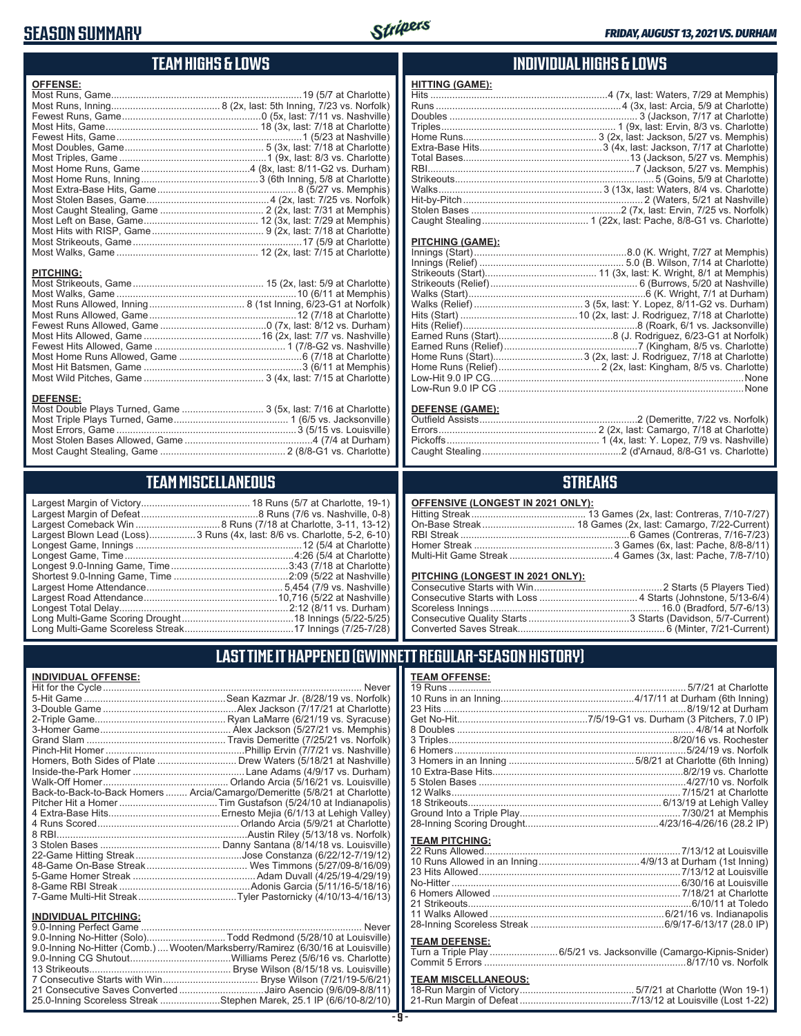### **SEASON SUMMARY**



### **TEAM HIGHS & LOWS**

| <b>OFFENSE:</b>  |  |
|------------------|--|
|                  |  |
|                  |  |
|                  |  |
|                  |  |
|                  |  |
|                  |  |
|                  |  |
|                  |  |
|                  |  |
|                  |  |
|                  |  |
|                  |  |
|                  |  |
|                  |  |
|                  |  |
|                  |  |
| <b>PITCHING:</b> |  |
|                  |  |
|                  |  |
|                  |  |
|                  |  |
|                  |  |
|                  |  |
|                  |  |
|                  |  |
|                  |  |
|                  |  |
|                  |  |
| <b>DEFENSE:</b>  |  |

| DEFENSE.                                                        |  |
|-----------------------------------------------------------------|--|
| Most Double Plays Turned, Game  3 (5x, last: 7/16 at Charlotte) |  |
|                                                                 |  |
|                                                                 |  |
|                                                                 |  |
|                                                                 |  |
|                                                                 |  |

### **TEAM MISCELLANEOUS**

| Largest Blown Lead (Loss) 3 Runs (4x, last: 8/6 vs. Charlotte, 5-2, 6-10) |
|---------------------------------------------------------------------------|
|                                                                           |
|                                                                           |
|                                                                           |
|                                                                           |
|                                                                           |
|                                                                           |
|                                                                           |
|                                                                           |
|                                                                           |

#### **INDIVIDUAL HIGHS & LOWS**

| <u>HITTING (GAME):</u> |                                                                  |
|------------------------|------------------------------------------------------------------|
|                        | Hits …………………………………………………………4 (7x, last: Waters, 7/29 at Memphis) |
|                        |                                                                  |
|                        |                                                                  |
|                        |                                                                  |
|                        |                                                                  |
|                        |                                                                  |
|                        |                                                                  |
|                        |                                                                  |
|                        |                                                                  |
|                        |                                                                  |
|                        |                                                                  |
|                        |                                                                  |
|                        |                                                                  |
|                        |                                                                  |

#### **PITCHING (GAME):**

| None                                                  |
|-------------------------------------------------------|
| Low-Run 9.0 IP CG …………………………………………………………………………………None |

#### **DEFENSE (GAME):**

#### **STREAKS**

#### **OFFENSIVE (LONGEST IN 2021 ONLY):**

#### **PITCHING (LONGEST IN 2021 ONLY):**

#### **LAST TIME IT HAPPENED (GWINNETT REGULAR-SEASON HISTORY)**

#### **INDIVIDUAL OFFENSE:**

|                                                               | Homers, Both Sides of Plate ………………………… Drew Waters (5/18/21 at Nashville)  |
|---------------------------------------------------------------|----------------------------------------------------------------------------|
|                                                               |                                                                            |
|                                                               |                                                                            |
|                                                               | Back-to-Back-to-Back Homers  Arcia/Camargo/Demeritte (5/8/21 at Charlotte) |
|                                                               |                                                                            |
|                                                               |                                                                            |
|                                                               |                                                                            |
|                                                               |                                                                            |
|                                                               |                                                                            |
|                                                               |                                                                            |
|                                                               |                                                                            |
|                                                               |                                                                            |
|                                                               |                                                                            |
|                                                               |                                                                            |
|                                                               |                                                                            |
| <b>INDIVIDUAL PITCHING:</b><br><b>Q O-Inning Perfect Game</b> | Never                                                                      |
|                                                               |                                                                            |

| 9.0-Inning No-Hitter (Solo)Todd Redmond (5/28/10 at Louisville)                 |
|---------------------------------------------------------------------------------|
| 9.0-Inning No-Hitter (Comb.)  Wooten/Marksberry/Ramirez (6/30/16 at Louisville) |
|                                                                                 |
|                                                                                 |
|                                                                                 |
| 21 Consecutive Saves Converted Jairo Asencio (9/6/09-8/8/11)                    |
| 25.0-Inning Scoreless Streak Stephen Marek, 25.1 IP (6/6/10-8/2/10)             |
|                                                                                 |

#### **TEAM OFFENSE:**

| <b>I EAM UFFENSE.</b> |                                                          |
|-----------------------|----------------------------------------------------------|
|                       |                                                          |
|                       |                                                          |
|                       |                                                          |
|                       |                                                          |
|                       |                                                          |
|                       |                                                          |
|                       |                                                          |
|                       |                                                          |
|                       |                                                          |
|                       |                                                          |
|                       | 12 Walks…………………………………………………………………………7/15/21 at Charlotte |
|                       |                                                          |
|                       |                                                          |
|                       |                                                          |
| <b>TEAM PITCHING:</b> |                                                          |
|                       |                                                          |
|                       |                                                          |
|                       |                                                          |
|                       |                                                          |
|                       |                                                          |
|                       |                                                          |
|                       |                                                          |
|                       |                                                          |
|                       |                                                          |

#### **TEAM DEFENSE:**

| Turn a Triple Play 6/5/21 vs. Jacksonville (Camargo-Kipnis-Snider) |
|--------------------------------------------------------------------|
|                                                                    |

| <b>TEAM MISCELLANEOUS:</b> |  |
|----------------------------|--|
|                            |  |
|                            |  |